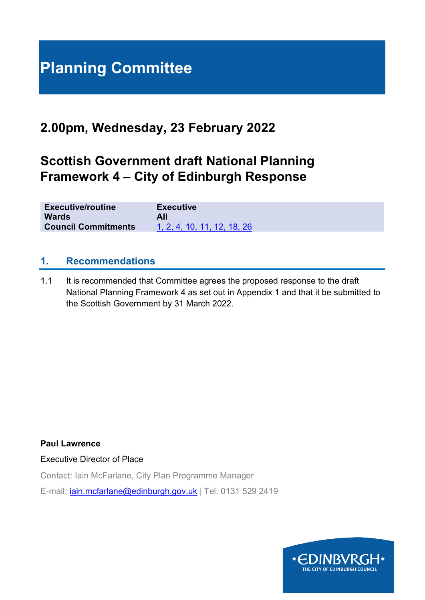# **Planning Committee**

## **2.00pm, Wednesday, 23 February 2022**

## **Scottish Government draft National Planning Framework 4 – City of Edinburgh Response**

| <b>Executive/routine</b>   | <b>Executive</b>            |
|----------------------------|-----------------------------|
| <b>Wards</b>               | All                         |
| <b>Council Commitments</b> | 1, 2, 4, 10, 11, 12, 18, 26 |

## **1. Recommendations**

1.1 It is recommended that Committee agrees the proposed response to the draft National Planning Framework 4 as set out in Appendix 1 and that it be submitted to the Scottish Government by 31 March 2022.

**Paul Lawrence**

Executive Director of Place

Contact: Iain McFarlane, City Plan Programme Manager

E-mail: [iain.mcfarlane@edinburgh.gov.uk](mailto:iain.mcfarlane@edinburgh.gov.uk) | Tel: 0131 529 2419

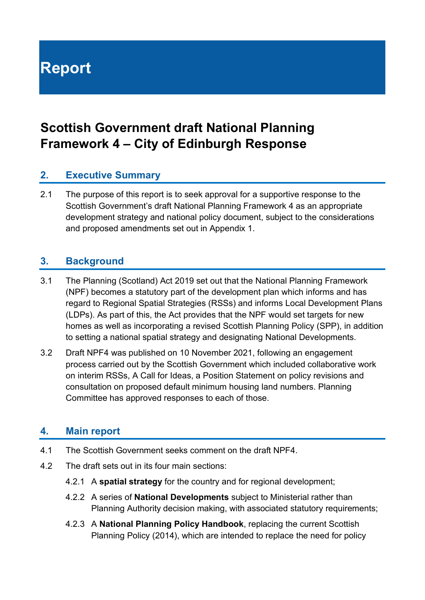**Report**

## **Scottish Government draft National Planning Framework 4 – City of Edinburgh Response**

## **2. Executive Summary**

2.1 The purpose of this report is to seek approval for a supportive response to the Scottish Government's draft National Planning Framework 4 as an appropriate development strategy and national policy document, subject to the considerations and proposed amendments set out in Appendix 1.

## **3. Background**

- 3.1 The Planning (Scotland) Act 2019 set out that the National Planning Framework (NPF) becomes a statutory part of the development plan which informs and has regard to Regional Spatial Strategies (RSSs) and informs Local Development Plans (LDPs). As part of this, the Act provides that the NPF would set targets for new homes as well as incorporating a revised Scottish Planning Policy (SPP), in addition to setting a national spatial strategy and designating National Developments.
- 3.2 Draft NPF4 was published on 10 November 2021, following an engagement process carried out by the Scottish Government which included collaborative work on interim RSSs, A Call for Ideas, a Position Statement on policy revisions and consultation on proposed default minimum housing land numbers. Planning Committee has approved responses to each of those.

## **4. Main report**

- 4.1 The Scottish Government seeks comment on the draft NPF4.
- 4.2 The draft sets out in its four main sections:
	- 4.2.1 A **spatial strategy** for the country and for regional development;
	- 4.2.2 A series of **National Developments** subject to Ministerial rather than Planning Authority decision making, with associated statutory requirements;
	- 4.2.3 A **National Planning Policy Handbook**, replacing the current Scottish Planning Policy (2014), which are intended to replace the need for policy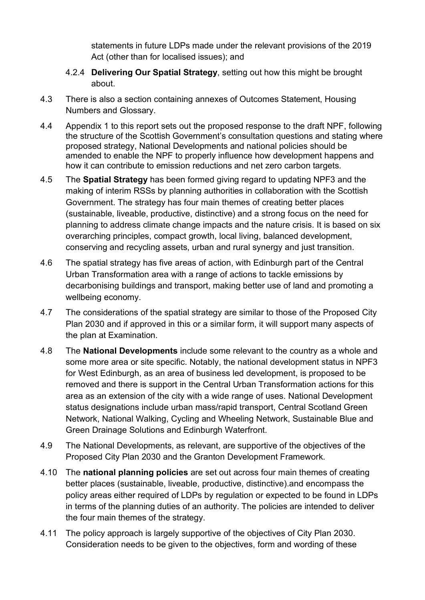statements in future LDPs made under the relevant provisions of the 2019 Act (other than for localised issues); and

- 4.2.4 **Delivering Our Spatial Strategy**, setting out how this might be brought about.
- 4.3 There is also a section containing annexes of Outcomes Statement, Housing Numbers and Glossary.
- 4.4 Appendix 1 to this report sets out the proposed response to the draft NPF, following the structure of the Scottish Government's consultation questions and stating where proposed strategy, National Developments and national policies should be amended to enable the NPF to properly influence how development happens and how it can contribute to emission reductions and net zero carbon targets.
- 4.5 The **Spatial Strategy** has been formed giving regard to updating NPF3 and the making of interim RSSs by planning authorities in collaboration with the Scottish Government. The strategy has four main themes of creating better places (sustainable, liveable, productive, distinctive) and a strong focus on the need for planning to address climate change impacts and the nature crisis. It is based on six overarching principles, compact growth, local living, balanced development, conserving and recycling assets, urban and rural synergy and just transition.
- 4.6 The spatial strategy has five areas of action, with Edinburgh part of the Central Urban Transformation area with a range of actions to tackle emissions by decarbonising buildings and transport, making better use of land and promoting a wellbeing economy.
- 4.7 The considerations of the spatial strategy are similar to those of the Proposed City Plan 2030 and if approved in this or a similar form, it will support many aspects of the plan at Examination.
- 4.8 The **National Developments** include some relevant to the country as a whole and some more area or site specific. Notably, the national development status in NPF3 for West Edinburgh, as an area of business led development, is proposed to be removed and there is support in the Central Urban Transformation actions for this area as an extension of the city with a wide range of uses. National Development status designations include urban mass/rapid transport, Central Scotland Green Network, National Walking, Cycling and Wheeling Network, Sustainable Blue and Green Drainage Solutions and Edinburgh Waterfront.
- 4.9 The National Developments, as relevant, are supportive of the objectives of the Proposed City Plan 2030 and the Granton Development Framework.
- 4.10 The **national planning policies** are set out across four main themes of creating better places (sustainable, liveable, productive, distinctive).and encompass the policy areas either required of LDPs by regulation or expected to be found in LDPs in terms of the planning duties of an authority. The policies are intended to deliver the four main themes of the strategy.
- 4.11 The policy approach is largely supportive of the objectives of City Plan 2030. Consideration needs to be given to the objectives, form and wording of these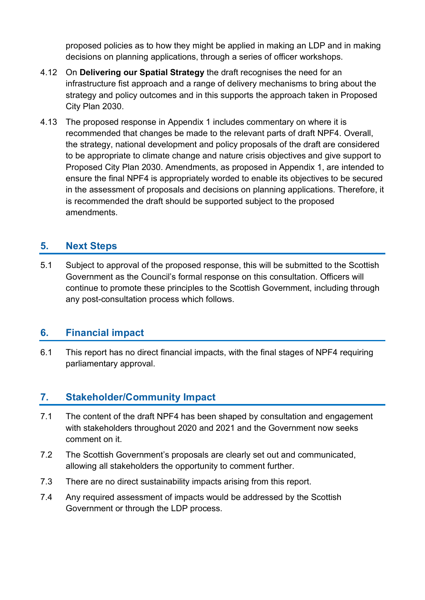proposed policies as to how they might be applied in making an LDP and in making decisions on planning applications, through a series of officer workshops.

- 4.12 On **Delivering our Spatial Strategy** the draft recognises the need for an infrastructure fist approach and a range of delivery mechanisms to bring about the strategy and policy outcomes and in this supports the approach taken in Proposed City Plan 2030.
- 4.13 The proposed response in Appendix 1 includes commentary on where it is recommended that changes be made to the relevant parts of draft NPF4. Overall, the strategy, national development and policy proposals of the draft are considered to be appropriate to climate change and nature crisis objectives and give support to Proposed City Plan 2030. Amendments, as proposed in Appendix 1, are intended to ensure the final NPF4 is appropriately worded to enable its objectives to be secured in the assessment of proposals and decisions on planning applications. Therefore, it is recommended the draft should be supported subject to the proposed amendments.

## **5. Next Steps**

5.1 Subject to approval of the proposed response, this will be submitted to the Scottish Government as the Council's formal response on this consultation. Officers will continue to promote these principles to the Scottish Government, including through any post-consultation process which follows.

## **6. Financial impact**

6.1 This report has no direct financial impacts, with the final stages of NPF4 requiring parliamentary approval.

## **7. Stakeholder/Community Impact**

- 7.1 The content of the draft NPF4 has been shaped by consultation and engagement with stakeholders throughout 2020 and 2021 and the Government now seeks comment on it.
- 7.2 The Scottish Government's proposals are clearly set out and communicated, allowing all stakeholders the opportunity to comment further.
- 7.3 There are no direct sustainability impacts arising from this report.
- 7.4 Any required assessment of impacts would be addressed by the Scottish Government or through the LDP process.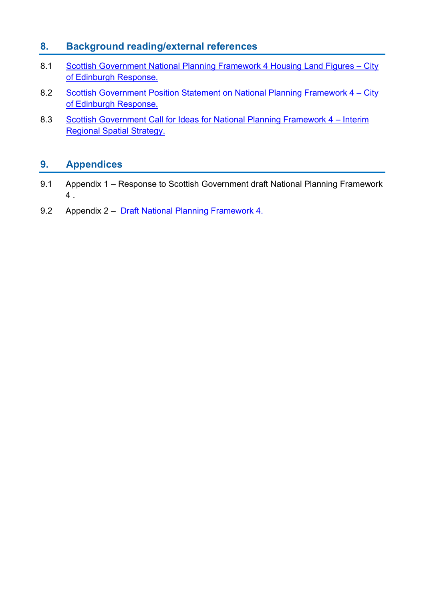## **8. Background reading/external references**

- 8.1 [Scottish Government National Planning Framework 4 Housing Land Figures –](https://democracy.edinburgh.gov.uk/documents/s34025/Item%206.2%20-%20SG%20NPF4%20Housing%20Land%20Figures%20-%20CEC%20Response.pdf) City [of Edinburgh Response.](https://democracy.edinburgh.gov.uk/documents/s34025/Item%206.2%20-%20SG%20NPF4%20Housing%20Land%20Figures%20-%20CEC%20Response.pdf)
- 8.2 [Scottish Government Position Statement on National Planning Framework 4 –](https://democracy.edinburgh.gov.uk/documents/s31074/Item%206.1%20-%20Scottish%20Government%20Position%20Statement%20on%20National%20Planning%20Framework%204.pdf) City [of Edinburgh Response.](https://democracy.edinburgh.gov.uk/documents/s31074/Item%206.1%20-%20Scottish%20Government%20Position%20Statement%20on%20National%20Planning%20Framework%204.pdf)
- 8.3 Scottish Government Call for Ideas [for National Planning Framework 4 –](https://democracy.edinburgh.gov.uk/documents/s27914/Item%206.1%20-%20Scottish%20Government%20Call%20for%20Ideas%20for%20National%20Planning%20Framework%204%20Interim%20Regional%20S.pdf) Interim [Regional Spatial Strategy.](https://democracy.edinburgh.gov.uk/documents/s27914/Item%206.1%20-%20Scottish%20Government%20Call%20for%20Ideas%20for%20National%20Planning%20Framework%204%20Interim%20Regional%20S.pdf)

## **9. Appendices**

- 9.1 Appendix 1 Response to Scottish Government draft National Planning Framework 4 .
- 9.2 Appendix 2 [Draft National Planning Framework 4.](https://www.gov.scot/binaries/content/documents/govscot/publications/consultation-paper/2021/11/scotland-2045-fourth-national-planning-framework-draft/documents/scotland-2045-fourth-national-planning-framework/scotland-2045-fourth-national-planning-framework/govscot%3Adocument/scotland-2045-fourth-national-planning-framework.pdf?forceDownload=true)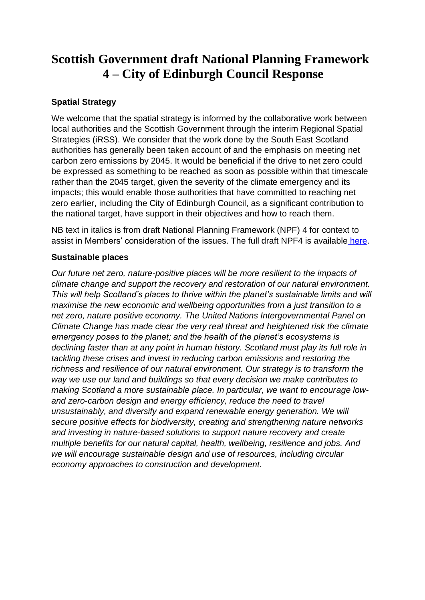## **Scottish Government draft National Planning Framework 4 – City of Edinburgh Council Response**

#### **Spatial Strategy**

We welcome that the spatial strategy is informed by the collaborative work between local authorities and the Scottish Government through the interim Regional Spatial Strategies (iRSS). We consider that the work done by the South East Scotland authorities has generally been taken account of and the emphasis on meeting net carbon zero emissions by 2045. It would be beneficial if the drive to net zero could be expressed as something to be reached as soon as possible within that timescale rather than the 2045 target, given the severity of the climate emergency and its impacts; this would enable those authorities that have committed to reaching net zero earlier, including the City of Edinburgh Council, as a significant contribution to the national target, have support in their objectives and how to reach them.

NB text in italics is from draft National Planning Framework (NPF) 4 for context to assist in Members' consideration of the issues. The full draft NPF4 is available [here.](file:///C:/Users/9982594/OneDrive%20-%20City%20of%20Edinburgh%20Council/Downloads/scotland-2045-fourth-national-planning-framework%20(1).pdf)

#### **Sustainable places**

*Our future net zero, nature-positive places will be more resilient to the impacts of climate change and support the recovery and restoration of our natural environment. This will help Scotland's places to thrive within the planet's sustainable limits and will maximise the new economic and wellbeing opportunities from a just transition to a net zero, nature positive economy. The United Nations Intergovernmental Panel on Climate Change has made clear the very real threat and heightened risk the climate emergency poses to the planet; and the health of the planet's ecosystems is declining faster than at any point in human history. Scotland must play its full role in tackling these crises and invest in reducing carbon emissions and restoring the richness and resilience of our natural environment. Our strategy is to transform the way we use our land and buildings so that every decision we make contributes to making Scotland a more sustainable place. In particular, we want to encourage lowand zero-carbon design and energy efficiency, reduce the need to travel unsustainably, and diversify and expand renewable energy generation. We will secure positive effects for biodiversity, creating and strengthening nature networks and investing in nature-based solutions to support nature recovery and create multiple benefits for our natural capital, health, wellbeing, resilience and jobs. And we will encourage sustainable design and use of resources, including circular economy approaches to construction and development.*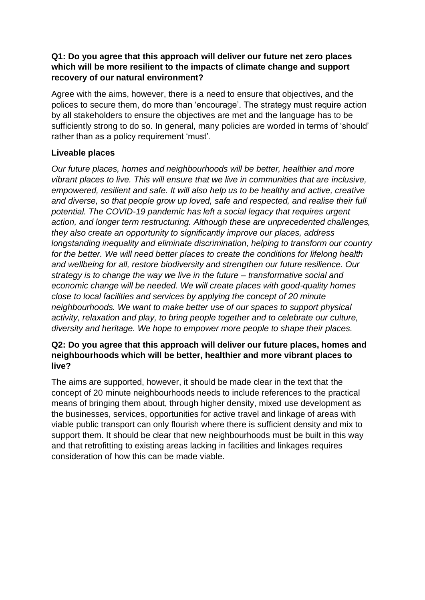#### **Q1: Do you agree that this approach will deliver our future net zero places which will be more resilient to the impacts of climate change and support recovery of our natural environment?**

Agree with the aims, however, there is a need to ensure that objectives, and the polices to secure them, do more than 'encourage'. The strategy must require action by all stakeholders to ensure the objectives are met and the language has to be sufficiently strong to do so. In general, many policies are worded in terms of 'should' rather than as a policy requirement 'must'.

#### **Liveable places**

*Our future places, homes and neighbourhoods will be better, healthier and more vibrant places to live. This will ensure that we live in communities that are inclusive, empowered, resilient and safe. It will also help us to be healthy and active, creative and diverse, so that people grow up loved, safe and respected, and realise their full potential. The COVID-19 pandemic has left a social legacy that requires urgent action, and longer term restructuring. Although these are unprecedented challenges, they also create an opportunity to significantly improve our places, address longstanding inequality and eliminate discrimination, helping to transform our country for the better. We will need better places to create the conditions for lifelong health and wellbeing for all, restore biodiversity and strengthen our future resilience. Our strategy is to change the way we live in the future – transformative social and economic change will be needed. We will create places with good-quality homes close to local facilities and services by applying the concept of 20 minute neighbourhoods. We want to make better use of our spaces to support physical activity, relaxation and play, to bring people together and to celebrate our culture, diversity and heritage. We hope to empower more people to shape their places.*

#### **Q2: Do you agree that this approach will deliver our future places, homes and neighbourhoods which will be better, healthier and more vibrant places to live?**

The aims are supported, however, it should be made clear in the text that the concept of 20 minute neighbourhoods needs to include references to the practical means of bringing them about, through higher density, mixed use development as the businesses, services, opportunities for active travel and linkage of areas with viable public transport can only flourish where there is sufficient density and mix to support them. It should be clear that new neighbourhoods must be built in this way and that retrofitting to existing areas lacking in facilities and linkages requires consideration of how this can be made viable.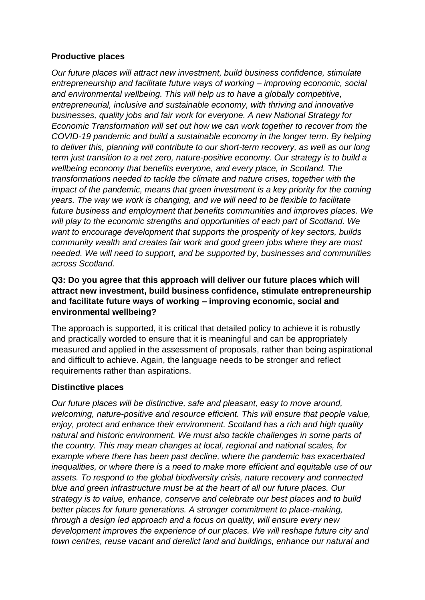#### **Productive places**

*Our future places will attract new investment, build business confidence, stimulate entrepreneurship and facilitate future ways of working – improving economic, social and environmental wellbeing. This will help us to have a globally competitive, entrepreneurial, inclusive and sustainable economy, with thriving and innovative businesses, quality jobs and fair work for everyone. A new National Strategy for Economic Transformation will set out how we can work together to recover from the COVID-19 pandemic and build a sustainable economy in the longer term. By helping to deliver this, planning will contribute to our short-term recovery, as well as our long term just transition to a net zero, nature-positive economy. Our strategy is to build a wellbeing economy that benefits everyone, and every place, in Scotland. The transformations needed to tackle the climate and nature crises, together with the impact of the pandemic, means that green investment is a key priority for the coming years. The way we work is changing, and we will need to be flexible to facilitate future business and employment that benefits communities and improves places. We will play to the economic strengths and opportunities of each part of Scotland. We want to encourage development that supports the prosperity of key sectors, builds community wealth and creates fair work and good green jobs where they are most needed. We will need to support, and be supported by, businesses and communities across Scotland.*

#### **Q3: Do you agree that this approach will deliver our future places which will attract new investment, build business confidence, stimulate entrepreneurship and facilitate future ways of working – improving economic, social and environmental wellbeing?**

The approach is supported, it is critical that detailed policy to achieve it is robustly and practically worded to ensure that it is meaningful and can be appropriately measured and applied in the assessment of proposals, rather than being aspirational and difficult to achieve. Again, the language needs to be stronger and reflect requirements rather than aspirations.

#### **Distinctive places**

*Our future places will be distinctive, safe and pleasant, easy to move around, welcoming, nature-positive and resource efficient. This will ensure that people value, enjoy, protect and enhance their environment. Scotland has a rich and high quality natural and historic environment. We must also tackle challenges in some parts of the country. This may mean changes at local, regional and national scales, for example where there has been past decline, where the pandemic has exacerbated inequalities, or where there is a need to make more efficient and equitable use of our assets. To respond to the global biodiversity crisis, nature recovery and connected blue and green infrastructure must be at the heart of all our future places. Our strategy is to value, enhance, conserve and celebrate our best places and to build better places for future generations. A stronger commitment to place-making, through a design led approach and a focus on quality, will ensure every new development improves the experience of our places. We will reshape future city and town centres, reuse vacant and derelict land and buildings, enhance our natural and*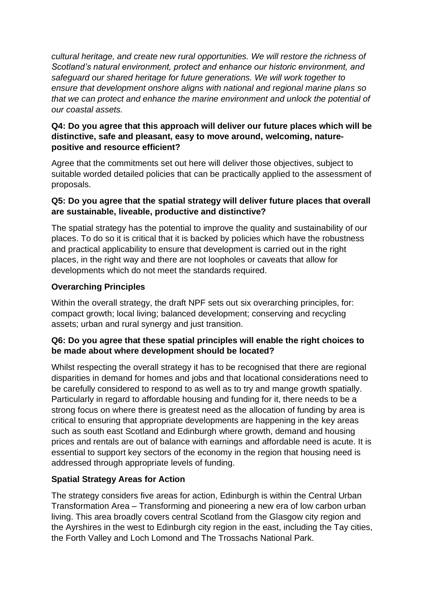*cultural heritage, and create new rural opportunities. We will restore the richness of Scotland's natural environment, protect and enhance our historic environment, and safeguard our shared heritage for future generations. We will work together to ensure that development onshore aligns with national and regional marine plans so that we can protect and enhance the marine environment and unlock the potential of our coastal assets.*

#### **Q4: Do you agree that this approach will deliver our future places which will be distinctive, safe and pleasant, easy to move around, welcoming, naturepositive and resource efficient?**

Agree that the commitments set out here will deliver those objectives, subject to suitable worded detailed policies that can be practically applied to the assessment of proposals.

#### **Q5: Do you agree that the spatial strategy will deliver future places that overall are sustainable, liveable, productive and distinctive?**

The spatial strategy has the potential to improve the quality and sustainability of our places. To do so it is critical that it is backed by policies which have the robustness and practical applicability to ensure that development is carried out in the right places, in the right way and there are not loopholes or caveats that allow for developments which do not meet the standards required.

#### **Overarching Principles**

Within the overall strategy, the draft NPF sets out six overarching principles, for: compact growth; local living; balanced development; conserving and recycling assets; urban and rural synergy and just transition.

#### **Q6: Do you agree that these spatial principles will enable the right choices to be made about where development should be located?**

Whilst respecting the overall strategy it has to be recognised that there are regional disparities in demand for homes and jobs and that locational considerations need to be carefully considered to respond to as well as to try and mange growth spatially. Particularly in regard to affordable housing and funding for it, there needs to be a strong focus on where there is greatest need as the allocation of funding by area is critical to ensuring that appropriate developments are happening in the key areas such as south east Scotland and Edinburgh where growth, demand and housing prices and rentals are out of balance with earnings and affordable need is acute. It is essential to support key sectors of the economy in the region that housing need is addressed through appropriate levels of funding.

#### **Spatial Strategy Areas for Action**

The strategy considers five areas for action, Edinburgh is within the Central Urban Transformation Area – Transforming and pioneering a new era of low carbon urban living. This area broadly covers central Scotland from the Glasgow city region and the Ayrshires in the west to Edinburgh city region in the east, including the Tay cities, the Forth Valley and Loch Lomond and The Trossachs National Park.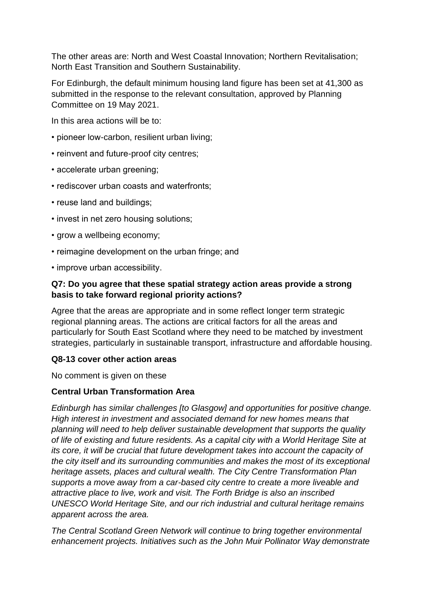The other areas are: North and West Coastal Innovation; Northern Revitalisation; North East Transition and Southern Sustainability.

For Edinburgh, the default minimum housing land figure has been set at 41,300 as submitted in the response to the relevant consultation, approved by Planning Committee on 19 May 2021.

In this area actions will be to:

- pioneer low-carbon, resilient urban living;
- reinvent and future-proof city centres;
- accelerate urban greening:
- rediscover urban coasts and waterfronts;
- reuse land and buildings;
- invest in net zero housing solutions;
- grow a wellbeing economy;
- reimagine development on the urban fringe; and
- improve urban accessibility.

#### **Q7: Do you agree that these spatial strategy action areas provide a strong basis to take forward regional priority actions?**

Agree that the areas are appropriate and in some reflect longer term strategic regional planning areas. The actions are critical factors for all the areas and particularly for South East Scotland where they need to be matched by investment strategies, particularly in sustainable transport, infrastructure and affordable housing.

#### **Q8-13 cover other action areas**

No comment is given on these

#### **Central Urban Transformation Area**

*Edinburgh has similar challenges [to Glasgow] and opportunities for positive change. High interest in investment and associated demand for new homes means that planning will need to help deliver sustainable development that supports the quality of life of existing and future residents. As a capital city with a World Heritage Site at its core, it will be crucial that future development takes into account the capacity of the city itself and its surrounding communities and makes the most of its exceptional heritage assets, places and cultural wealth. The City Centre Transformation Plan supports a move away from a car-based city centre to create a more liveable and attractive place to live, work and visit. The Forth Bridge is also an inscribed UNESCO World Heritage Site, and our rich industrial and cultural heritage remains apparent across the area.*

*The Central Scotland Green Network will continue to bring together environmental enhancement projects. Initiatives such as the John Muir Pollinator Way demonstrate*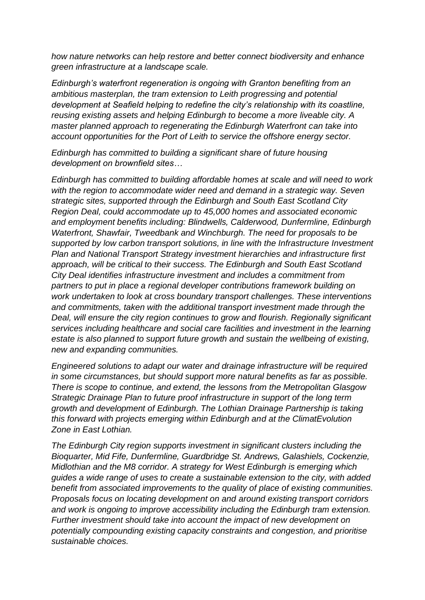*how nature networks can help restore and better connect biodiversity and enhance green infrastructure at a landscape scale.* 

*Edinburgh's waterfront regeneration is ongoing with Granton benefiting from an ambitious masterplan, the tram extension to Leith progressing and potential development at Seafield helping to redefine the city's relationship with its coastline, reusing existing assets and helping Edinburgh to become a more liveable city. A master planned approach to regenerating the Edinburgh Waterfront can take into account opportunities for the Port of Leith to service the offshore energy sector.*

*Edinburgh has committed to building a significant share of future housing development on brownfield sites…*

*Edinburgh has committed to building affordable homes at scale and will need to work*  with the region to accommodate wider need and demand in a strategic way. Seven *strategic sites, supported through the Edinburgh and South East Scotland City Region Deal, could accommodate up to 45,000 homes and associated economic and employment benefits including: Blindwells, Calderwood, Dunfermline, Edinburgh Waterfront, Shawfair, Tweedbank and Winchburgh. The need for proposals to be supported by low carbon transport solutions, in line with the Infrastructure Investment Plan and National Transport Strategy investment hierarchies and infrastructure first approach, will be critical to their success. The Edinburgh and South East Scotland City Deal identifies infrastructure investment and includes a commitment from partners to put in place a regional developer contributions framework building on work undertaken to look at cross boundary transport challenges. These interventions and commitments, taken with the additional transport investment made through the Deal, will ensure the city region continues to grow and flourish. Regionally significant services including healthcare and social care facilities and investment in the learning estate is also planned to support future growth and sustain the wellbeing of existing, new and expanding communities.*

*Engineered solutions to adapt our water and drainage infrastructure will be required in some circumstances, but should support more natural benefits as far as possible. There is scope to continue, and extend, the lessons from the Metropolitan Glasgow Strategic Drainage Plan to future proof infrastructure in support of the long term growth and development of Edinburgh. The Lothian Drainage Partnership is taking this forward with projects emerging within Edinburgh and at the ClimatEvolution Zone in East Lothian.*

*The Edinburgh City region supports investment in significant clusters including the Bioquarter, Mid Fife, Dunfermline, Guardbridge St. Andrews, Galashiels, Cockenzie, Midlothian and the M8 corridor. A strategy for West Edinburgh is emerging which guides a wide range of uses to create a sustainable extension to the city, with added benefit from associated improvements to the quality of place of existing communities. Proposals focus on locating development on and around existing transport corridors and work is ongoing to improve accessibility including the Edinburgh tram extension. Further investment should take into account the impact of new development on potentially compounding existing capacity constraints and congestion, and prioritise sustainable choices.*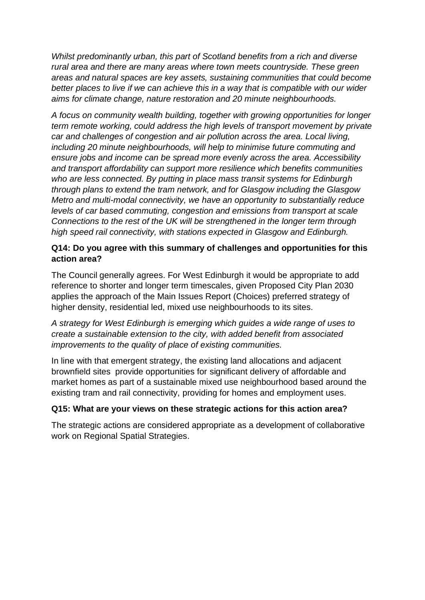*Whilst predominantly urban, this part of Scotland benefits from a rich and diverse rural area and there are many areas where town meets countryside. These green areas and natural spaces are key assets, sustaining communities that could become better places to live if we can achieve this in a way that is compatible with our wider aims for climate change, nature restoration and 20 minute neighbourhoods.*

*A focus on community wealth building, together with growing opportunities for longer term remote working, could address the high levels of transport movement by private car and challenges of congestion and air pollution across the area. Local living, including 20 minute neighbourhoods, will help to minimise future commuting and ensure jobs and income can be spread more evenly across the area. Accessibility and transport affordability can support more resilience which benefits communities who are less connected. By putting in place mass transit systems for Edinburgh through plans to extend the tram network, and for Glasgow including the Glasgow Metro and multi-modal connectivity, we have an opportunity to substantially reduce levels of car based commuting, congestion and emissions from transport at scale Connections to the rest of the UK will be strengthened in the longer term through high speed rail connectivity, with stations expected in Glasgow and Edinburgh.*

#### **Q14: Do you agree with this summary of challenges and opportunities for this action area?**

The Council generally agrees. For West Edinburgh it would be appropriate to add reference to shorter and longer term timescales, given Proposed City Plan 2030 applies the approach of the Main Issues Report (Choices) preferred strategy of higher density, residential led, mixed use neighbourhoods to its sites.

*A strategy for West Edinburgh is emerging which guides a wide range of uses to create a sustainable extension to the city, with added benefit from associated improvements to the quality of place of existing communities.* 

In line with that emergent strategy, the existing land allocations and adjacent brownfield sites provide opportunities for significant delivery of affordable and market homes as part of a sustainable mixed use neighbourhood based around the existing tram and rail connectivity, providing for homes and employment uses.

#### **Q15: What are your views on these strategic actions for this action area?**

The strategic actions are considered appropriate as a development of collaborative work on Regional Spatial Strategies.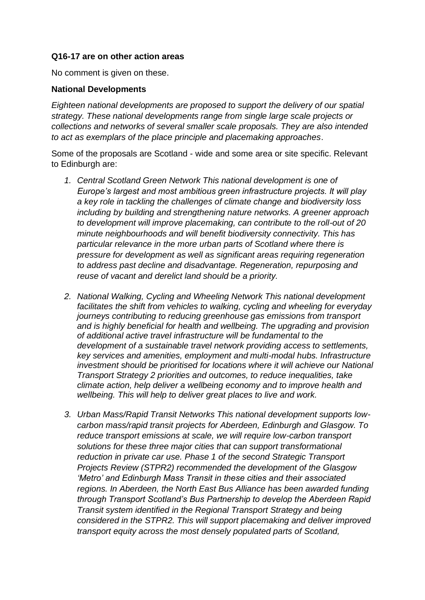#### **Q16-17 are on other action areas**

No comment is given on these.

#### **National Developments**

*Eighteen national developments are proposed to support the delivery of our spatial strategy. These national developments range from single large scale projects or collections and networks of several smaller scale proposals. They are also intended to act as exemplars of the place principle and placemaking approaches*.

Some of the proposals are Scotland - wide and some area or site specific. Relevant to Edinburgh are:

- *1. Central Scotland Green Network This national development is one of Europe's largest and most ambitious green infrastructure projects. It will play a key role in tackling the challenges of climate change and biodiversity loss including by building and strengthening nature networks. A greener approach to development will improve placemaking, can contribute to the roll-out of 20 minute neighbourhoods and will benefit biodiversity connectivity. This has particular relevance in the more urban parts of Scotland where there is pressure for development as well as significant areas requiring regeneration to address past decline and disadvantage. Regeneration, repurposing and reuse of vacant and derelict land should be a priority.*
- *2. National Walking, Cycling and Wheeling Network This national development facilitates the shift from vehicles to walking, cycling and wheeling for everyday journeys contributing to reducing greenhouse gas emissions from transport and is highly beneficial for health and wellbeing. The upgrading and provision of additional active travel infrastructure will be fundamental to the development of a sustainable travel network providing access to settlements, key services and amenities, employment and multi-modal hubs. Infrastructure investment should be prioritised for locations where it will achieve our National Transport Strategy 2 priorities and outcomes, to reduce inequalities, take climate action, help deliver a wellbeing economy and to improve health and wellbeing. This will help to deliver great places to live and work.*
- *3. Urban Mass/Rapid Transit Networks This national development supports lowcarbon mass/rapid transit projects for Aberdeen, Edinburgh and Glasgow. To reduce transport emissions at scale, we will require low-carbon transport solutions for these three major cities that can support transformational reduction in private car use. Phase 1 of the second Strategic Transport Projects Review (STPR2) recommended the development of the Glasgow 'Metro' and Edinburgh Mass Transit in these cities and their associated regions. In Aberdeen, the North East Bus Alliance has been awarded funding through Transport Scotland's Bus Partnership to develop the Aberdeen Rapid Transit system identified in the Regional Transport Strategy and being considered in the STPR2. This will support placemaking and deliver improved transport equity across the most densely populated parts of Scotland,*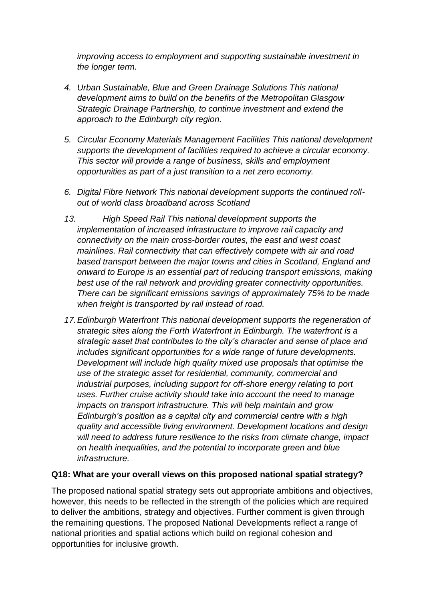*improving access to employment and supporting sustainable investment in the longer term.*

- *4. Urban Sustainable, Blue and Green Drainage Solutions This national development aims to build on the benefits of the Metropolitan Glasgow Strategic Drainage Partnership, to continue investment and extend the approach to the Edinburgh city region.*
- *5. Circular Economy Materials Management Facilities This national development supports the development of facilities required to achieve a circular economy. This sector will provide a range of business, skills and employment opportunities as part of a just transition to a net zero economy.*
- *6. Digital Fibre Network This national development supports the continued rollout of world class broadband across Scotland*
- *13. High Speed Rail This national development supports the implementation of increased infrastructure to improve rail capacity and connectivity on the main cross-border routes, the east and west coast mainlines. Rail connectivity that can effectively compete with air and road based transport between the major towns and cities in Scotland, England and onward to Europe is an essential part of reducing transport emissions, making best use of the rail network and providing greater connectivity opportunities. There can be significant emissions savings of approximately 75% to be made when freight is transported by rail instead of road.*
- *17.Edinburgh Waterfront This national development supports the regeneration of strategic sites along the Forth Waterfront in Edinburgh. The waterfront is a strategic asset that contributes to the city's character and sense of place and includes significant opportunities for a wide range of future developments. Development will include high quality mixed use proposals that optimise the use of the strategic asset for residential, community, commercial and industrial purposes, including support for off-shore energy relating to port uses. Further cruise activity should take into account the need to manage impacts on transport infrastructure. This will help maintain and grow Edinburgh's position as a capital city and commercial centre with a high quality and accessible living environment. Development locations and design will need to address future resilience to the risks from climate change, impact on health inequalities, and the potential to incorporate green and blue infrastructure.*

#### **Q18: What are your overall views on this proposed national spatial strategy?**

The proposed national spatial strategy sets out appropriate ambitions and objectives, however, this needs to be reflected in the strength of the policies which are required to deliver the ambitions, strategy and objectives. Further comment is given through the remaining questions. The proposed National Developments reflect a range of national priorities and spatial actions which build on regional cohesion and opportunities for inclusive growth.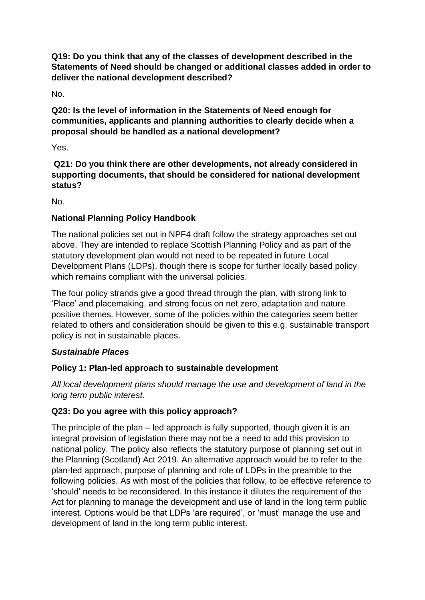**Q19: Do you think that any of the classes of development described in the Statements of Need should be changed or additional classes added in order to deliver the national development described?** 

No.

**Q20: Is the level of information in the Statements of Need enough for communities, applicants and planning authorities to clearly decide when a proposal should be handled as a national development?**

Yes.

**Q21: Do you think there are other developments, not already considered in supporting documents, that should be considered for national development status?**

No.

## **National Planning Policy Handbook**

The national policies set out in NPF4 draft follow the strategy approaches set out above. They are intended to replace Scottish Planning Policy and as part of the statutory development plan would not need to be repeated in future Local Development Plans (LDPs), though there is scope for further locally based policy which remains compliant with the universal policies.

The four policy strands give a good thread through the plan, with strong link to 'Place' and placemaking, and strong focus on net zero, adaptation and nature positive themes. However, some of the policies within the categories seem better related to others and consideration should be given to this e.g. sustainable transport policy is not in sustainable places.

## *Sustainable Places*

## **Policy 1: Plan-led approach to sustainable development**

*All local development plans should manage the use and development of land in the long term public interest.*

## **Q23: Do you agree with this policy approach?**

The principle of the plan – led approach is fully supported, though given it is an integral provision of legislation there may not be a need to add this provision to national policy. The policy also reflects the statutory purpose of planning set out in the Planning (Scotland) Act 2019. An alternative approach would be to refer to the plan-led approach, purpose of planning and role of LDPs in the preamble to the following policies. As with most of the policies that follow, to be effective reference to 'should' needs to be reconsidered. In this instance it dilutes the requirement of the Act for planning to manage the development and use of land in the long term public interest. Options would be that LDPs 'are required', or 'must' manage the use and development of land in the long term public interest.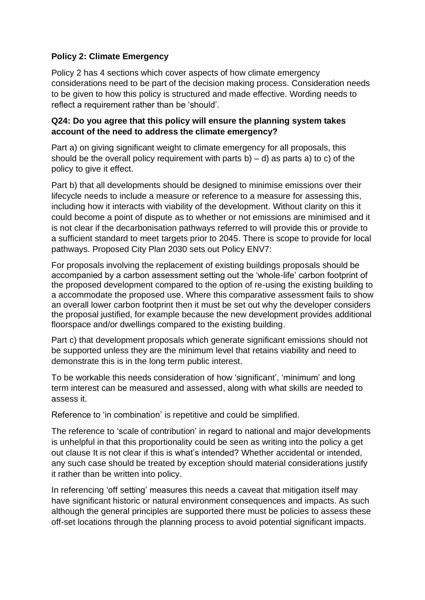#### **Policy 2: Climate Emergency**

Policy 2 has 4 sections which cover aspects of how climate emergency considerations need to be part of the decision making process. Consideration needs to be given to how this policy is structured and made effective. Wording needs to reflect a requirement rather than be 'should'.

#### **Q24: Do you agree that this policy will ensure the planning system takes account of the need to address the climate emergency?**

Part a) on giving significant weight to climate emergency for all proposals, this should be the overall policy requirement with parts b) – d) as parts a) to c) of the policy to give it effect.

Part b) that all developments should be designed to minimise emissions over their lifecycle needs to include a measure or reference to a measure for assessing this, including how it interacts with viability of the development. Without clarity on this it could become a point of dispute as to whether or not emissions are minimised and it is not clear if the decarbonisation pathways referred to will provide this or provide to a sufficient standard to meet targets prior to 2045. There is scope to provide for local pathways. Proposed City Plan 2030 sets out Policy ENV7:

For proposals involving the replacement of existing buildings proposals should be accompanied by a carbon assessment setting out the 'whole-life' carbon footprint of the proposed development compared to the option of re-using the existing building to a accommodate the proposed use. Where this comparative assessment fails to show an overall lower carbon footprint then it must be set out why the developer considers the proposal justified, for example because the new development provides additional floorspace and/or dwellings compared to the existing building.

Part c) that development proposals which generate significant emissions should not be supported unless they are the minimum level that retains viability and need to demonstrate this is in the long term public interest.

To be workable this needs consideration of how 'significant', 'minimum' and long term interest can be measured and assessed, along with what skills are needed to assess it.

Reference to 'in combination' is repetitive and could be simplified.

The reference to 'scale of contribution' in regard to national and major developments is unhelpful in that this proportionality could be seen as writing into the policy a get out clause It is not clear if this is what's intended? Whether accidental or intended, any such case should be treated by exception should material considerations justify it rather than be written into policy.

In referencing 'off setting' measures this needs a caveat that mitigation itself may have significant historic or natural environment consequences and impacts. As such although the general principles are supported there must be policies to assess these off-set locations through the planning process to avoid potential significant impacts.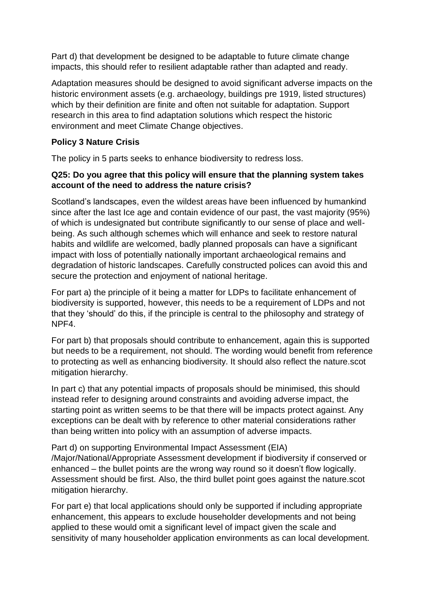Part d) that development be designed to be adaptable to future climate change impacts, this should refer to resilient adaptable rather than adapted and ready.

Adaptation measures should be designed to avoid significant adverse impacts on the historic environment assets (e.g. archaeology, buildings pre 1919, listed structures) which by their definition are finite and often not suitable for adaptation. Support research in this area to find adaptation solutions which respect the historic environment and meet Climate Change objectives.

#### **Policy 3 Nature Crisis**

The policy in 5 parts seeks to enhance biodiversity to redress loss.

#### **Q25: Do you agree that this policy will ensure that the planning system takes account of the need to address the nature crisis?**

Scotland's landscapes, even the wildest areas have been influenced by humankind since after the last Ice age and contain evidence of our past, the vast majority (95%) of which is undesignated but contribute significantly to our sense of place and wellbeing. As such although schemes which will enhance and seek to restore natural habits and wildlife are welcomed, badly planned proposals can have a significant impact with loss of potentially nationally important archaeological remains and degradation of historic landscapes. Carefully constructed polices can avoid this and secure the protection and enjoyment of national heritage.

For part a) the principle of it being a matter for LDPs to facilitate enhancement of biodiversity is supported, however, this needs to be a requirement of LDPs and not that they 'should' do this, if the principle is central to the philosophy and strategy of NPF4.

For part b) that proposals should contribute to enhancement, again this is supported but needs to be a requirement, not should. The wording would benefit from reference to protecting as well as enhancing biodiversity. It should also reflect the nature.scot mitigation hierarchy.

In part c) that any potential impacts of proposals should be minimised, this should instead refer to designing around constraints and avoiding adverse impact, the starting point as written seems to be that there will be impacts protect against. Any exceptions can be dealt with by reference to other material considerations rather than being written into policy with an assumption of adverse impacts.

Part d) on supporting Environmental Impact Assessment (EIA) /Major/National/Appropriate Assessment development if biodiversity if conserved or enhanced – the bullet points are the wrong way round so it doesn't flow logically. Assessment should be first. Also, the third bullet point goes against the nature.scot mitigation hierarchy.

For part e) that local applications should only be supported if including appropriate enhancement, this appears to exclude householder developments and not being applied to these would omit a significant level of impact given the scale and sensitivity of many householder application environments as can local development.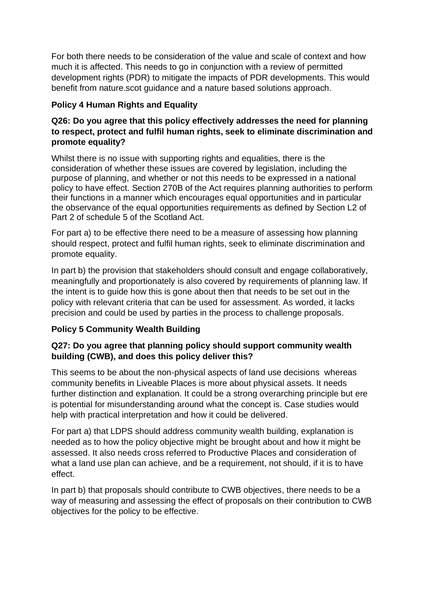For both there needs to be consideration of the value and scale of context and how much it is affected. This needs to go in conjunction with a review of permitted development rights (PDR) to mitigate the impacts of PDR developments. This would benefit from nature.scot guidance and a nature based solutions approach.

#### **Policy 4 Human Rights and Equality**

#### **Q26: Do you agree that this policy effectively addresses the need for planning to respect, protect and fulfil human rights, seek to eliminate discrimination and promote equality?**

Whilst there is no issue with supporting rights and equalities, there is the consideration of whether these issues are covered by legislation, including the purpose of planning, and whether or not this needs to be expressed in a national policy to have effect. Section 270B of the Act requires planning authorities to perform their functions in a manner which encourages equal opportunities and in particular the observance of the equal opportunities requirements as defined by Section L2 of Part 2 of schedule 5 of the Scotland Act.

For part a) to be effective there need to be a measure of assessing how planning should respect, protect and fulfil human rights, seek to eliminate discrimination and promote equality.

In part b) the provision that stakeholders should consult and engage collaboratively, meaningfully and proportionately is also covered by requirements of planning law. If the intent is to guide how this is gone about then that needs to be set out in the policy with relevant criteria that can be used for assessment. As worded, it lacks precision and could be used by parties in the process to challenge proposals.

## **Policy 5 Community Wealth Building**

#### **Q27: Do you agree that planning policy should support community wealth building (CWB), and does this policy deliver this?**

This seems to be about the non-physical aspects of land use decisions whereas community benefits in Liveable Places is more about physical assets. It needs further distinction and explanation. It could be a strong overarching principle but ere is potential for misunderstanding around what the concept is. Case studies would help with practical interpretation and how it could be delivered.

For part a) that LDPS should address community wealth building, explanation is needed as to how the policy objective might be brought about and how it might be assessed. It also needs cross referred to Productive Places and consideration of what a land use plan can achieve, and be a requirement, not should, if it is to have effect.

In part b) that proposals should contribute to CWB objectives, there needs to be a way of measuring and assessing the effect of proposals on their contribution to CWB objectives for the policy to be effective.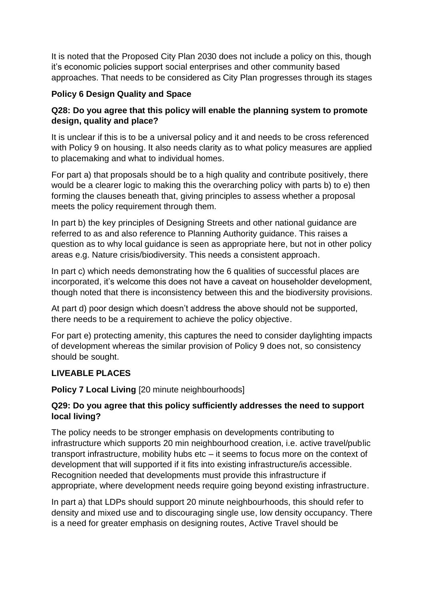It is noted that the Proposed City Plan 2030 does not include a policy on this, though it's economic policies support social enterprises and other community based approaches. That needs to be considered as City Plan progresses through its stages

#### **Policy 6 Design Quality and Space**

#### **Q28: Do you agree that this policy will enable the planning system to promote design, quality and place?**

It is unclear if this is to be a universal policy and it and needs to be cross referenced with Policy 9 on housing. It also needs clarity as to what policy measures are applied to placemaking and what to individual homes.

For part a) that proposals should be to a high quality and contribute positively, there would be a clearer logic to making this the overarching policy with parts b) to e) then forming the clauses beneath that, giving principles to assess whether a proposal meets the policy requirement through them.

In part b) the key principles of Designing Streets and other national guidance are referred to as and also reference to Planning Authority guidance. This raises a question as to why local guidance is seen as appropriate here, but not in other policy areas e.g. Nature crisis/biodiversity. This needs a consistent approach.

In part c) which needs demonstrating how the 6 qualities of successful places are incorporated, it's welcome this does not have a caveat on householder development, though noted that there is inconsistency between this and the biodiversity provisions.

At part d) poor design which doesn't address the above should not be supported, there needs to be a requirement to achieve the policy objective.

For part e) protecting amenity, this captures the need to consider daylighting impacts of development whereas the similar provision of Policy 9 does not, so consistency should be sought.

#### **LIVEABLE PLACES**

**Policy 7 Local Living** [20 minute neighbourhoods]

#### **Q29: Do you agree that this policy sufficiently addresses the need to support local living?**

The policy needs to be stronger emphasis on developments contributing to infrastructure which supports 20 min neighbourhood creation, i.e. active travel/public transport infrastructure, mobility hubs etc – it seems to focus more on the context of development that will supported if it fits into existing infrastructure/is accessible. Recognition needed that developments must provide this infrastructure if appropriate, where development needs require going beyond existing infrastructure.

In part a) that LDPs should support 20 minute neighbourhoods, this should refer to density and mixed use and to discouraging single use, low density occupancy. There is a need for greater emphasis on designing routes, Active Travel should be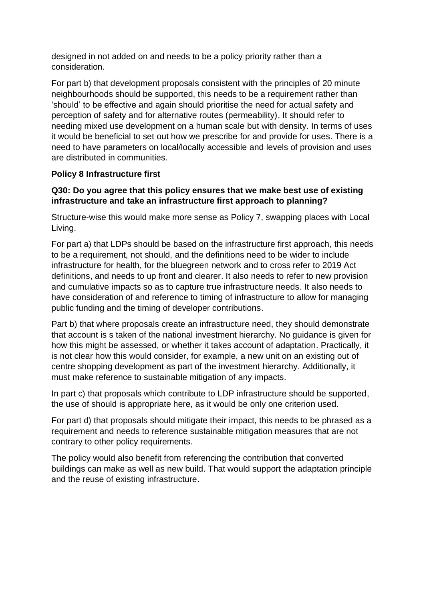designed in not added on and needs to be a policy priority rather than a consideration.

For part b) that development proposals consistent with the principles of 20 minute neighbourhoods should be supported, this needs to be a requirement rather than 'should' to be effective and again should prioritise the need for actual safety and perception of safety and for alternative routes (permeability). It should refer to needing mixed use development on a human scale but with density. In terms of uses it would be beneficial to set out how we prescribe for and provide for uses. There is a need to have parameters on local/locally accessible and levels of provision and uses are distributed in communities.

#### **Policy 8 Infrastructure first**

#### **Q30: Do you agree that this policy ensures that we make best use of existing infrastructure and take an infrastructure first approach to planning?**

Structure-wise this would make more sense as Policy 7, swapping places with Local Living.

For part a) that LDPs should be based on the infrastructure first approach, this needs to be a requirement, not should, and the definitions need to be wider to include infrastructure for health, for the bluegreen network and to cross refer to 2019 Act definitions, and needs to up front and clearer. It also needs to refer to new provision and cumulative impacts so as to capture true infrastructure needs. It also needs to have consideration of and reference to timing of infrastructure to allow for managing public funding and the timing of developer contributions.

Part b) that where proposals create an infrastructure need, they should demonstrate that account is s taken of the national investment hierarchy. No guidance is given for how this might be assessed, or whether it takes account of adaptation. Practically, it is not clear how this would consider, for example, a new unit on an existing out of centre shopping development as part of the investment hierarchy. Additionally, it must make reference to sustainable mitigation of any impacts.

In part c) that proposals which contribute to LDP infrastructure should be supported, the use of should is appropriate here, as it would be only one criterion used.

For part d) that proposals should mitigate their impact, this needs to be phrased as a requirement and needs to reference sustainable mitigation measures that are not contrary to other policy requirements.

The policy would also benefit from referencing the contribution that converted buildings can make as well as new build. That would support the adaptation principle and the reuse of existing infrastructure.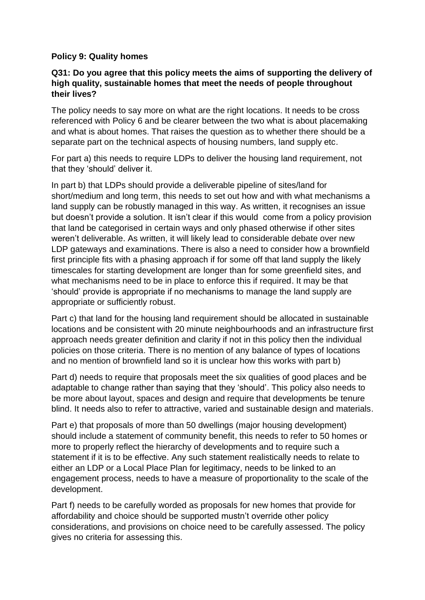#### **Policy 9: Quality homes**

#### **Q31: Do you agree that this policy meets the aims of supporting the delivery of high quality, sustainable homes that meet the needs of people throughout their lives?**

The policy needs to say more on what are the right locations. It needs to be cross referenced with Policy 6 and be clearer between the two what is about placemaking and what is about homes. That raises the question as to whether there should be a separate part on the technical aspects of housing numbers, land supply etc.

For part a) this needs to require LDPs to deliver the housing land requirement, not that they 'should' deliver it.

In part b) that LDPs should provide a deliverable pipeline of sites/land for short/medium and long term, this needs to set out how and with what mechanisms a land supply can be robustly managed in this way. As written, it recognises an issue but doesn't provide a solution. It isn't clear if this would come from a policy provision that land be categorised in certain ways and only phased otherwise if other sites weren't deliverable. As written, it will likely lead to considerable debate over new LDP gateways and examinations. There is also a need to consider how a brownfield first principle fits with a phasing approach if for some off that land supply the likely timescales for starting development are longer than for some greenfield sites, and what mechanisms need to be in place to enforce this if required. It may be that 'should' provide is appropriate if no mechanisms to manage the land supply are appropriate or sufficiently robust.

Part c) that land for the housing land requirement should be allocated in sustainable locations and be consistent with 20 minute neighbourhoods and an infrastructure first approach needs greater definition and clarity if not in this policy then the individual policies on those criteria. There is no mention of any balance of types of locations and no mention of brownfield land so it is unclear how this works with part b)

Part d) needs to require that proposals meet the six qualities of good places and be adaptable to change rather than saying that they 'should'. This policy also needs to be more about layout, spaces and design and require that developments be tenure blind. It needs also to refer to attractive, varied and sustainable design and materials.

Part e) that proposals of more than 50 dwellings (major housing development) should include a statement of community benefit, this needs to refer to 50 homes or more to properly reflect the hierarchy of developments and to require such a statement if it is to be effective. Any such statement realistically needs to relate to either an LDP or a Local Place Plan for legitimacy, needs to be linked to an engagement process, needs to have a measure of proportionality to the scale of the development.

Part f) needs to be carefully worded as proposals for new homes that provide for affordability and choice should be supported mustn't override other policy considerations, and provisions on choice need to be carefully assessed. The policy gives no criteria for assessing this.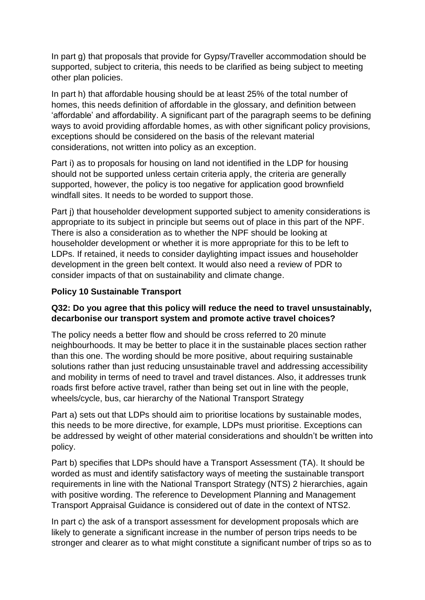In part g) that proposals that provide for Gypsy/Traveller accommodation should be supported, subject to criteria, this needs to be clarified as being subject to meeting other plan policies.

In part h) that affordable housing should be at least 25% of the total number of homes, this needs definition of affordable in the glossary, and definition between 'affordable' and affordability. A significant part of the paragraph seems to be defining ways to avoid providing affordable homes, as with other significant policy provisions, exceptions should be considered on the basis of the relevant material considerations, not written into policy as an exception.

Part i) as to proposals for housing on land not identified in the LDP for housing should not be supported unless certain criteria apply, the criteria are generally supported, however, the policy is too negative for application good brownfield windfall sites. It needs to be worded to support those.

Part j) that householder development supported subject to amenity considerations is appropriate to its subject in principle but seems out of place in this part of the NPF. There is also a consideration as to whether the NPF should be looking at householder development or whether it is more appropriate for this to be left to LDPs. If retained, it needs to consider daylighting impact issues and householder development in the green belt context. It would also need a review of PDR to consider impacts of that on sustainability and climate change.

#### **Policy 10 Sustainable Transport**

#### **Q32: Do you agree that this policy will reduce the need to travel unsustainably, decarbonise our transport system and promote active travel choices?**

The policy needs a better flow and should be cross referred to 20 minute neighbourhoods. It may be better to place it in the sustainable places section rather than this one. The wording should be more positive, about requiring sustainable solutions rather than just reducing unsustainable travel and addressing accessibility and mobility in terms of need to travel and travel distances. Also, it addresses trunk roads first before active travel, rather than being set out in line with the people, wheels/cycle, bus, car hierarchy of the National Transport Strategy

Part a) sets out that LDPs should aim to prioritise locations by sustainable modes, this needs to be more directive, for example, LDPs must prioritise. Exceptions can be addressed by weight of other material considerations and shouldn't be written into policy.

Part b) specifies that LDPs should have a Transport Assessment (TA). It should be worded as must and identify satisfactory ways of meeting the sustainable transport requirements in line with the National Transport Strategy (NTS) 2 hierarchies, again with positive wording. The reference to Development Planning and Management Transport Appraisal Guidance is considered out of date in the context of NTS2.

In part c) the ask of a transport assessment for development proposals which are likely to generate a significant increase in the number of person trips needs to be stronger and clearer as to what might constitute a significant number of trips so as to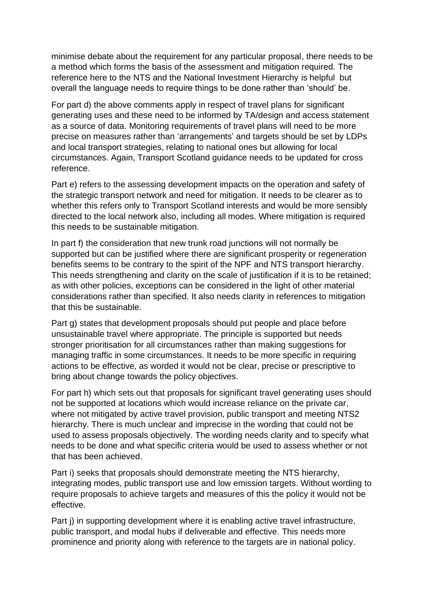minimise debate about the requirement for any particular proposal, there needs to be a method which forms the basis of the assessment and mitigation required. The reference here to the NTS and the National Investment Hierarchy is helpful but overall the language needs to require things to be done rather than 'should' be.

For part d) the above comments apply in respect of travel plans for significant generating uses and these need to be informed by TA/design and access statement as a source of data. Monitoring requirements of travel plans will need to be more precise on measures rather than 'arrangements' and targets should be set by LDPs and local transport strategies, relating to national ones but allowing for local circumstances. Again, Transport Scotland guidance needs to be updated for cross reference.

Part e) refers to the assessing development impacts on the operation and safety of the strategic transport network and need for mitigation. It needs to be clearer as to whether this refers only to Transport Scotland interests and would be more sensibly directed to the local network also, including all modes. Where mitigation is required this needs to be sustainable mitigation.

In part f) the consideration that new trunk road junctions will not normally be supported but can be justified where there are significant prosperity or regeneration benefits seems to be contrary to the spirit of the NPF and NTS transport hierarchy. This needs strengthening and clarity on the scale of justification if it is to be retained; as with other policies, exceptions can be considered in the light of other material considerations rather than specified. It also needs clarity in references to mitigation that this be sustainable.

Part g) states that development proposals should put people and place before unsustainable travel where appropriate. The principle is supported but needs stronger prioritisation for all circumstances rather than making suggestions for managing traffic in some circumstances. It needs to be more specific in requiring actions to be effective, as worded it would not be clear, precise or prescriptive to bring about change towards the policy objectives.

For part h) which sets out that proposals for significant travel generating uses should not be supported at locations which would increase reliance on the private car, where not mitigated by active travel provision, public transport and meeting NTS2 hierarchy. There is much unclear and imprecise in the wording that could not be used to assess proposals objectively. The wording needs clarity and to specify what needs to be done and what specific criteria would be used to assess whether or not that has been achieved.

Part i) seeks that proposals should demonstrate meeting the NTS hierarchy, integrating modes, public transport use and low emission targets. Without wording to require proposals to achieve targets and measures of this the policy it would not be effective.

Part j) in supporting development where it is enabling active travel infrastructure, public transport, and modal hubs if deliverable and effective. This needs more prominence and priority along with reference to the targets are in national policy.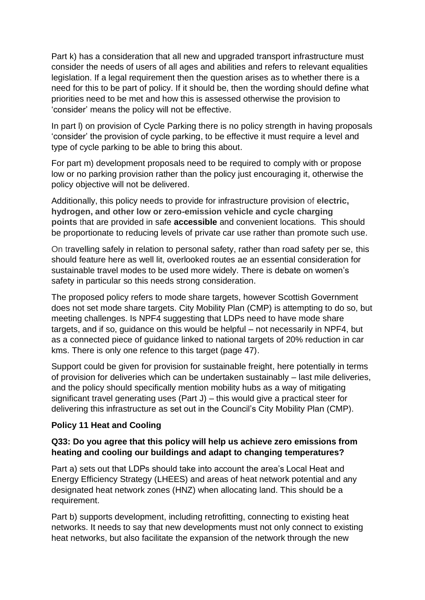Part k) has a consideration that all new and upgraded transport infrastructure must consider the needs of users of all ages and abilities and refers to relevant equalities legislation. If a legal requirement then the question arises as to whether there is a need for this to be part of policy. If it should be, then the wording should define what priorities need to be met and how this is assessed otherwise the provision to 'consider' means the policy will not be effective.

In part I) on provision of Cycle Parking there is no policy strength in having proposals 'consider' the provision of cycle parking, to be effective it must require a level and type of cycle parking to be able to bring this about.

For part m) development proposals need to be required to comply with or propose low or no parking provision rather than the policy just encouraging it, otherwise the policy objective will not be delivered.

Additionally, this policy needs to provide for infrastructure provision of **electric, hydrogen, and other low or zero-emission vehicle and cycle charging points** that are provided in safe **accessible** and convenient locations. This should be proportionate to reducing levels of private car use rather than promote such use.

On travelling safely in relation to personal safety, rather than road safety per se, this should feature here as well lit, overlooked routes ae an essential consideration for sustainable travel modes to be used more widely. There is debate on women's safety in particular so this needs strong consideration.

The proposed policy refers to mode share targets, however Scottish Government does not set mode share targets. City Mobility Plan (CMP) is attempting to do so, but meeting challenges. Is NPF4 suggesting that LDPs need to have mode share targets, and if so, guidance on this would be helpful – not necessarily in NPF4, but as a connected piece of guidance linked to national targets of 20% reduction in car kms. There is only one refence to this target (page 47).

Support could be given for provision for sustainable freight, here potentially in terms of provision for deliveries which can be undertaken sustainably – last mile deliveries, and the policy should specifically mention mobility hubs as a way of mitigating significant travel generating uses (Part J) – this would give a practical steer for delivering this infrastructure as set out in the Council's City Mobility Plan (CMP).

#### **Policy 11 Heat and Cooling**

#### **Q33: Do you agree that this policy will help us achieve zero emissions from heating and cooling our buildings and adapt to changing temperatures?**

Part a) sets out that LDPs should take into account the area's Local Heat and Energy Efficiency Strategy (LHEES) and areas of heat network potential and any designated heat network zones (HNZ) when allocating land. This should be a requirement.

Part b) supports development, including retrofitting, connecting to existing heat networks. It needs to say that new developments must not only connect to existing heat networks, but also facilitate the expansion of the network through the new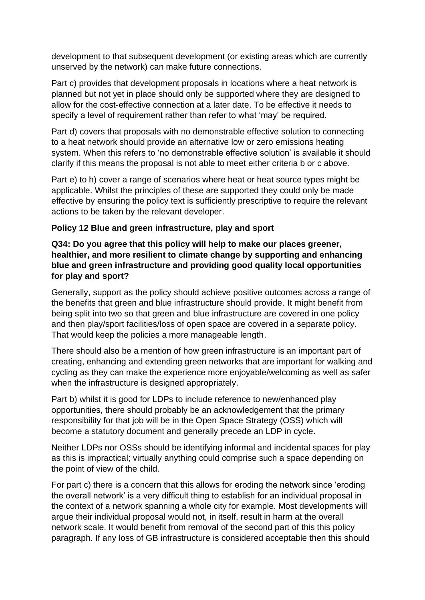development to that subsequent development (or existing areas which are currently unserved by the network) can make future connections.

Part c) provides that development proposals in locations where a heat network is planned but not yet in place should only be supported where they are designed to allow for the cost-effective connection at a later date. To be effective it needs to specify a level of requirement rather than refer to what 'may' be required.

Part d) covers that proposals with no demonstrable effective solution to connecting to a heat network should provide an alternative low or zero emissions heating system. When this refers to 'no demonstrable effective solution' is available it should clarify if this means the proposal is not able to meet either criteria b or c above.

Part e) to h) cover a range of scenarios where heat or heat source types might be applicable. Whilst the principles of these are supported they could only be made effective by ensuring the policy text is sufficiently prescriptive to require the relevant actions to be taken by the relevant developer.

#### **Policy 12 Blue and green infrastructure, play and sport**

#### **Q34: Do you agree that this policy will help to make our places greener, healthier, and more resilient to climate change by supporting and enhancing blue and green infrastructure and providing good quality local opportunities for play and sport?**

Generally, support as the policy should achieve positive outcomes across a range of the benefits that green and blue infrastructure should provide. It might benefit from being split into two so that green and blue infrastructure are covered in one policy and then play/sport facilities/loss of open space are covered in a separate policy. That would keep the policies a more manageable length.

There should also be a mention of how green infrastructure is an important part of creating, enhancing and extending green networks that are important for walking and cycling as they can make the experience more enjoyable/welcoming as well as safer when the infrastructure is designed appropriately.

Part b) whilst it is good for LDPs to include reference to new/enhanced play opportunities, there should probably be an acknowledgement that the primary responsibility for that job will be in the Open Space Strategy (OSS) which will become a statutory document and generally precede an LDP in cycle.

Neither LDPs nor OSSs should be identifying informal and incidental spaces for play as this is impractical; virtually anything could comprise such a space depending on the point of view of the child.

For part c) there is a concern that this allows for eroding the network since 'eroding the overall network' is a very difficult thing to establish for an individual proposal in the context of a network spanning a whole city for example. Most developments will argue their individual proposal would not, in itself, result in harm at the overall network scale. It would benefit from removal of the second part of this this policy paragraph. If any loss of GB infrastructure is considered acceptable then this should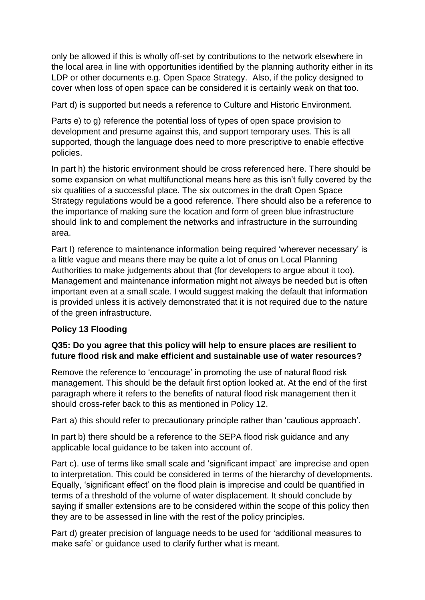only be allowed if this is wholly off-set by contributions to the network elsewhere in the local area in line with opportunities identified by the planning authority either in its LDP or other documents e.g. Open Space Strategy. Also, if the policy designed to cover when loss of open space can be considered it is certainly weak on that too.

Part d) is supported but needs a reference to Culture and Historic Environment.

Parts e) to g) reference the potential loss of types of open space provision to development and presume against this, and support temporary uses. This is all supported, though the language does need to more prescriptive to enable effective policies.

In part h) the historic environment should be cross referenced here. There should be some expansion on what multifunctional means here as this isn't fully covered by the six qualities of a successful place. The six outcomes in the draft Open Space Strategy regulations would be a good reference. There should also be a reference to the importance of making sure the location and form of green blue infrastructure should link to and complement the networks and infrastructure in the surrounding area.

Part I) reference to maintenance information being required 'wherever necessary' is a little vague and means there may be quite a lot of onus on Local Planning Authorities to make judgements about that (for developers to argue about it too). Management and maintenance information might not always be needed but is often important even at a small scale. I would suggest making the default that information is provided unless it is actively demonstrated that it is not required due to the nature of the green infrastructure.

#### **Policy 13 Flooding**

#### **Q35: Do you agree that this policy will help to ensure places are resilient to future flood risk and make efficient and sustainable use of water resources?**

Remove the reference to 'encourage' in promoting the use of natural flood risk management. This should be the default first option looked at. At the end of the first paragraph where it refers to the benefits of natural flood risk management then it should cross-refer back to this as mentioned in Policy 12.

Part a) this should refer to precautionary principle rather than 'cautious approach'.

In part b) there should be a reference to the SEPA flood risk guidance and any applicable local guidance to be taken into account of.

Part c). use of terms like small scale and 'significant impact' are imprecise and open to interpretation. This could be considered in terms of the hierarchy of developments. Equally, 'significant effect' on the flood plain is imprecise and could be quantified in terms of a threshold of the volume of water displacement. It should conclude by saying if smaller extensions are to be considered within the scope of this policy then they are to be assessed in line with the rest of the policy principles.

Part d) greater precision of language needs to be used for 'additional measures to make safe' or guidance used to clarify further what is meant.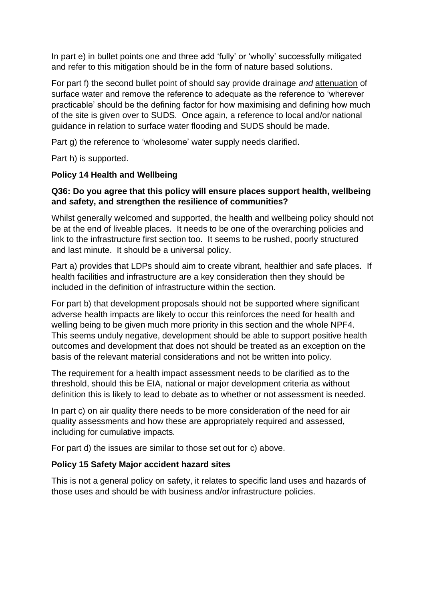In part e) in bullet points one and three add 'fully' or 'wholly' successfully mitigated and refer to this mitigation should be in the form of nature based solutions.

For part f) the second bullet point of should say provide drainage *and* attenuation of surface water and remove the reference to adequate as the reference to 'wherever practicable' should be the defining factor for how maximising and defining how much of the site is given over to SUDS. Once again, a reference to local and/or national guidance in relation to surface water flooding and SUDS should be made.

Part g) the reference to 'wholesome' water supply needs clarified.

Part h) is supported.

#### **Policy 14 Health and Wellbeing**

#### **Q36: Do you agree that this policy will ensure places support health, wellbeing and safety, and strengthen the resilience of communities?**

Whilst generally welcomed and supported, the health and wellbeing policy should not be at the end of liveable places. It needs to be one of the overarching policies and link to the infrastructure first section too. It seems to be rushed, poorly structured and last minute. It should be a universal policy.

Part a) provides that LDPs should aim to create vibrant, healthier and safe places. If health facilities and infrastructure are a key consideration then they should be included in the definition of infrastructure within the section.

For part b) that development proposals should not be supported where significant adverse health impacts are likely to occur this reinforces the need for health and welling being to be given much more priority in this section and the whole NPF4. This seems unduly negative, development should be able to support positive health outcomes and development that does not should be treated as an exception on the basis of the relevant material considerations and not be written into policy.

The requirement for a health impact assessment needs to be clarified as to the threshold, should this be EIA, national or major development criteria as without definition this is likely to lead to debate as to whether or not assessment is needed.

In part c) on air quality there needs to be more consideration of the need for air quality assessments and how these are appropriately required and assessed, including for cumulative impacts.

For part d) the issues are similar to those set out for c) above.

#### **Policy 15 Safety Major accident hazard sites**

This is not a general policy on safety, it relates to specific land uses and hazards of those uses and should be with business and/or infrastructure policies.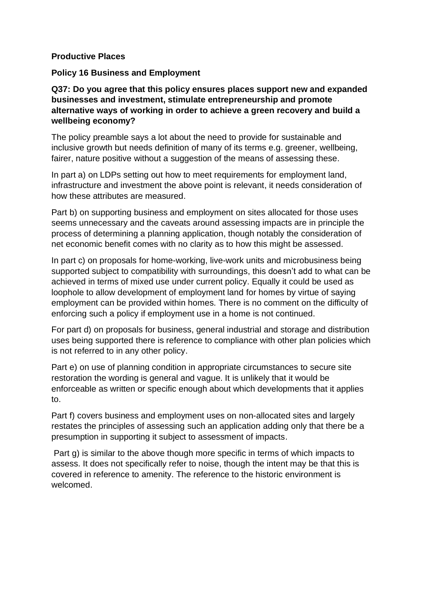#### **Productive Places**

#### **Policy 16 Business and Employment**

**Q37: Do you agree that this policy ensures places support new and expanded businesses and investment, stimulate entrepreneurship and promote alternative ways of working in order to achieve a green recovery and build a wellbeing economy?**

The policy preamble says a lot about the need to provide for sustainable and inclusive growth but needs definition of many of its terms e.g. greener, wellbeing, fairer, nature positive without a suggestion of the means of assessing these.

In part a) on LDPs setting out how to meet requirements for employment land, infrastructure and investment the above point is relevant, it needs consideration of how these attributes are measured.

Part b) on supporting business and employment on sites allocated for those uses seems unnecessary and the caveats around assessing impacts are in principle the process of determining a planning application, though notably the consideration of net economic benefit comes with no clarity as to how this might be assessed.

In part c) on proposals for home-working, live-work units and microbusiness being supported subject to compatibility with surroundings, this doesn't add to what can be achieved in terms of mixed use under current policy. Equally it could be used as loophole to allow development of employment land for homes by virtue of saying employment can be provided within homes. There is no comment on the difficulty of enforcing such a policy if employment use in a home is not continued.

For part d) on proposals for business, general industrial and storage and distribution uses being supported there is reference to compliance with other plan policies which is not referred to in any other policy.

Part e) on use of planning condition in appropriate circumstances to secure site restoration the wording is general and vague. It is unlikely that it would be enforceable as written or specific enough about which developments that it applies to.

Part f) covers business and employment uses on non-allocated sites and largely restates the principles of assessing such an application adding only that there be a presumption in supporting it subject to assessment of impacts.

Part g) is similar to the above though more specific in terms of which impacts to assess. It does not specifically refer to noise, though the intent may be that this is covered in reference to amenity. The reference to the historic environment is welcomed.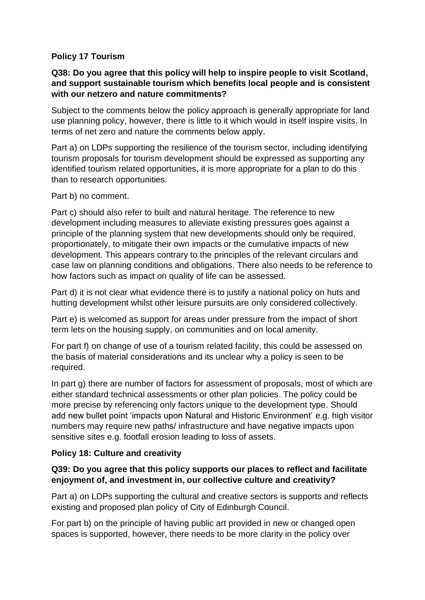#### **Policy 17 Tourism**

#### **Q38: Do you agree that this policy will help to inspire people to visit Scotland, and support sustainable tourism which benefits local people and is consistent with our netzero and nature commitments?**

Subject to the comments below the policy approach is generally appropriate for land use planning policy, however, there is little to it which would in itself inspire visits. In terms of net zero and nature the comments below apply.

Part a) on LDPs supporting the resilience of the tourism sector, including identifying tourism proposals for tourism development should be expressed as supporting any identified tourism related opportunities, it is more appropriate for a plan to do this than to research opportunities.

Part b) no comment.

Part c) should also refer to built and natural heritage. The reference to new development including measures to alleviate existing pressures goes against a principle of the planning system that new developments should only be required, proportionately, to mitigate their own impacts or the cumulative impacts of new development. This appears contrary to the principles of the relevant circulars and case law on planning conditions and obligations. There also needs to be reference to how factors such as impact on quality of life can be assessed.

Part d) it is not clear what evidence there is to justify a national policy on huts and hutting development whilst other leisure pursuits are only considered collectively.

Part e) is welcomed as support for areas under pressure from the impact of short term lets on the housing supply, on communities and on local amenity.

For part f) on change of use of a tourism related facility, this could be assessed on the basis of material considerations and its unclear why a policy is seen to be required.

In part g) there are number of factors for assessment of proposals, most of which are either standard technical assessments or other plan policies. The policy could be more precise by referencing only factors unique to the development type. Should add new bullet point 'impacts upon Natural and Historic Environment' e.g. high visitor numbers may require new paths/ infrastructure and have negative impacts upon sensitive sites e.g. footfall erosion leading to loss of assets.

#### **Policy 18: Culture and creativity**

#### **Q39: Do you agree that this policy supports our places to reflect and facilitate enjoyment of, and investment in, our collective culture and creativity?**

Part a) on LDPs supporting the cultural and creative sectors is supports and reflects existing and proposed plan policy of City of Edinburgh Council.

For part b) on the principle of having public art provided in new or changed open spaces is supported, however, there needs to be more clarity in the policy over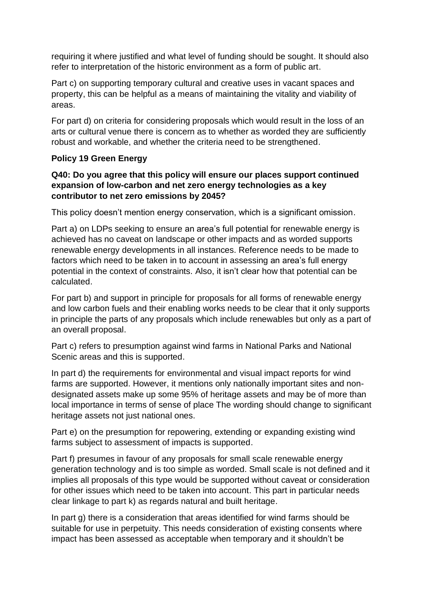requiring it where justified and what level of funding should be sought. It should also refer to interpretation of the historic environment as a form of public art.

Part c) on supporting temporary cultural and creative uses in vacant spaces and property, this can be helpful as a means of maintaining the vitality and viability of areas.

For part d) on criteria for considering proposals which would result in the loss of an arts or cultural venue there is concern as to whether as worded they are sufficiently robust and workable, and whether the criteria need to be strengthened.

#### **Policy 19 Green Energy**

#### **Q40: Do you agree that this policy will ensure our places support continued expansion of low-carbon and net zero energy technologies as a key contributor to net zero emissions by 2045?**

This policy doesn't mention energy conservation, which is a significant omission.

Part a) on LDPs seeking to ensure an area's full potential for renewable energy is achieved has no caveat on landscape or other impacts and as worded supports renewable energy developments in all instances. Reference needs to be made to factors which need to be taken in to account in assessing an area's full energy potential in the context of constraints. Also, it isn't clear how that potential can be calculated.

For part b) and support in principle for proposals for all forms of renewable energy and low carbon fuels and their enabling works needs to be clear that it only supports in principle the parts of any proposals which include renewables but only as a part of an overall proposal.

Part c) refers to presumption against wind farms in National Parks and National Scenic areas and this is supported.

In part d) the requirements for environmental and visual impact reports for wind farms are supported. However, it mentions only nationally important sites and nondesignated assets make up some 95% of heritage assets and may be of more than local importance in terms of sense of place The wording should change to significant heritage assets not just national ones.

Part e) on the presumption for repowering, extending or expanding existing wind farms subject to assessment of impacts is supported.

Part f) presumes in favour of any proposals for small scale renewable energy generation technology and is too simple as worded. Small scale is not defined and it implies all proposals of this type would be supported without caveat or consideration for other issues which need to be taken into account. This part in particular needs clear linkage to part k) as regards natural and built heritage.

In part g) there is a consideration that areas identified for wind farms should be suitable for use in perpetuity. This needs consideration of existing consents where impact has been assessed as acceptable when temporary and it shouldn't be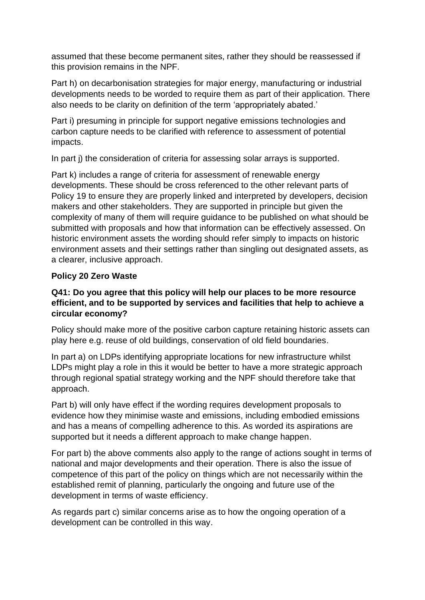assumed that these become permanent sites, rather they should be reassessed if this provision remains in the NPF.

Part h) on decarbonisation strategies for major energy, manufacturing or industrial developments needs to be worded to require them as part of their application. There also needs to be clarity on definition of the term 'appropriately abated.'

Part i) presuming in principle for support negative emissions technologies and carbon capture needs to be clarified with reference to assessment of potential impacts.

In part j) the consideration of criteria for assessing solar arrays is supported.

Part k) includes a range of criteria for assessment of renewable energy developments. These should be cross referenced to the other relevant parts of Policy 19 to ensure they are properly linked and interpreted by developers, decision makers and other stakeholders. They are supported in principle but given the complexity of many of them will require guidance to be published on what should be submitted with proposals and how that information can be effectively assessed. On historic environment assets the wording should refer simply to impacts on historic environment assets and their settings rather than singling out designated assets, as a clearer, inclusive approach.

#### **Policy 20 Zero Waste**

#### **Q41: Do you agree that this policy will help our places to be more resource efficient, and to be supported by services and facilities that help to achieve a circular economy?**

Policy should make more of the positive carbon capture retaining historic assets can play here e.g. reuse of old buildings, conservation of old field boundaries.

In part a) on LDPs identifying appropriate locations for new infrastructure whilst LDPs might play a role in this it would be better to have a more strategic approach through regional spatial strategy working and the NPF should therefore take that approach.

Part b) will only have effect if the wording requires development proposals to evidence how they minimise waste and emissions, including embodied emissions and has a means of compelling adherence to this. As worded its aspirations are supported but it needs a different approach to make change happen.

For part b) the above comments also apply to the range of actions sought in terms of national and major developments and their operation. There is also the issue of competence of this part of the policy on things which are not necessarily within the established remit of planning, particularly the ongoing and future use of the development in terms of waste efficiency.

As regards part c) similar concerns arise as to how the ongoing operation of a development can be controlled in this way.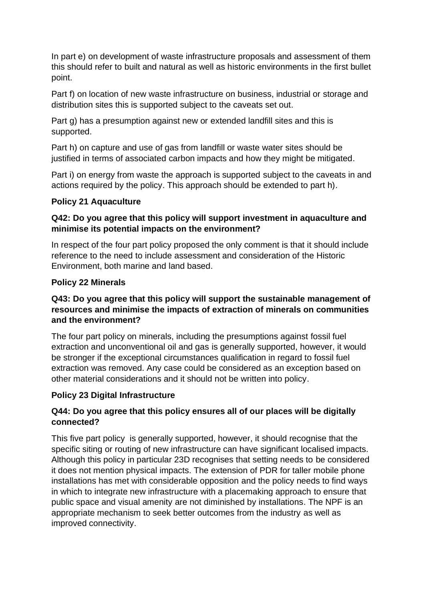In part e) on development of waste infrastructure proposals and assessment of them this should refer to built and natural as well as historic environments in the first bullet point.

Part f) on location of new waste infrastructure on business, industrial or storage and distribution sites this is supported subject to the caveats set out.

Part g) has a presumption against new or extended landfill sites and this is supported.

Part h) on capture and use of gas from landfill or waste water sites should be justified in terms of associated carbon impacts and how they might be mitigated.

Part i) on energy from waste the approach is supported subject to the caveats in and actions required by the policy. This approach should be extended to part h).

#### **Policy 21 Aquaculture**

#### **Q42: Do you agree that this policy will support investment in aquaculture and minimise its potential impacts on the environment?**

In respect of the four part policy proposed the only comment is that it should include reference to the need to include assessment and consideration of the Historic Environment, both marine and land based.

#### **Policy 22 Minerals**

#### **Q43: Do you agree that this policy will support the sustainable management of resources and minimise the impacts of extraction of minerals on communities and the environment?**

The four part policy on minerals, including the presumptions against fossil fuel extraction and unconventional oil and gas is generally supported, however, it would be stronger if the exceptional circumstances qualification in regard to fossil fuel extraction was removed. Any case could be considered as an exception based on other material considerations and it should not be written into policy.

#### **Policy 23 Digital Infrastructure**

#### **Q44: Do you agree that this policy ensures all of our places will be digitally connected?**

This five part policy is generally supported, however, it should recognise that the specific siting or routing of new infrastructure can have significant localised impacts. Although this policy in particular 23D recognises that setting needs to be considered it does not mention physical impacts. The extension of PDR for taller mobile phone installations has met with considerable opposition and the policy needs to find ways in which to integrate new infrastructure with a placemaking approach to ensure that public space and visual amenity are not diminished by installations. The NPF is an appropriate mechanism to seek better outcomes from the industry as well as improved connectivity.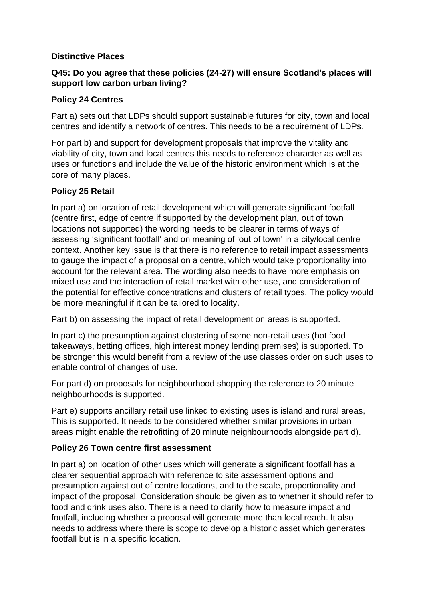#### **Distinctive Places**

#### **Q45: Do you agree that these policies (24-27) will ensure Scotland's places will support low carbon urban living?**

#### **Policy 24 Centres**

Part a) sets out that LDPs should support sustainable futures for city, town and local centres and identify a network of centres. This needs to be a requirement of LDPs.

For part b) and support for development proposals that improve the vitality and viability of city, town and local centres this needs to reference character as well as uses or functions and include the value of the historic environment which is at the core of many places.

#### **Policy 25 Retail**

In part a) on location of retail development which will generate significant footfall (centre first, edge of centre if supported by the development plan, out of town locations not supported) the wording needs to be clearer in terms of ways of assessing 'significant footfall' and on meaning of 'out of town' in a city/local centre context. Another key issue is that there is no reference to retail impact assessments to gauge the impact of a proposal on a centre, which would take proportionality into account for the relevant area. The wording also needs to have more emphasis on mixed use and the interaction of retail market with other use, and consideration of the potential for effective concentrations and clusters of retail types. The policy would be more meaningful if it can be tailored to locality.

Part b) on assessing the impact of retail development on areas is supported.

In part c) the presumption against clustering of some non-retail uses (hot food takeaways, betting offices, high interest money lending premises) is supported. To be stronger this would benefit from a review of the use classes order on such uses to enable control of changes of use.

For part d) on proposals for neighbourhood shopping the reference to 20 minute neighbourhoods is supported.

Part e) supports ancillary retail use linked to existing uses is island and rural areas, This is supported. It needs to be considered whether similar provisions in urban areas might enable the retrofitting of 20 minute neighbourhoods alongside part d).

#### **Policy 26 Town centre first assessment**

In part a) on location of other uses which will generate a significant footfall has a clearer sequential approach with reference to site assessment options and presumption against out of centre locations, and to the scale, proportionality and impact of the proposal. Consideration should be given as to whether it should refer to food and drink uses also. There is a need to clarify how to measure impact and footfall, including whether a proposal will generate more than local reach. It also needs to address where there is scope to develop a historic asset which generates footfall but is in a specific location.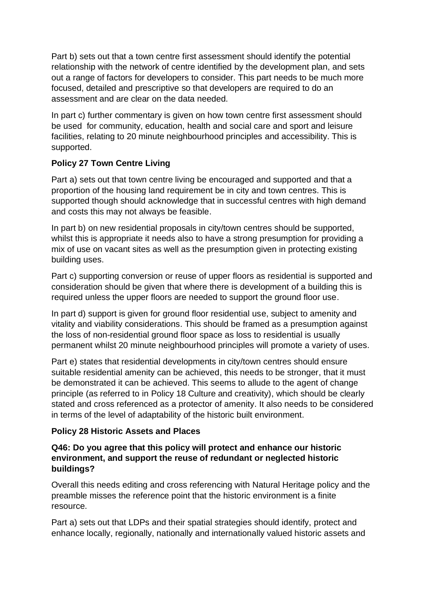Part b) sets out that a town centre first assessment should identify the potential relationship with the network of centre identified by the development plan, and sets out a range of factors for developers to consider. This part needs to be much more focused, detailed and prescriptive so that developers are required to do an assessment and are clear on the data needed.

In part c) further commentary is given on how town centre first assessment should be used for community, education, health and social care and sport and leisure facilities, relating to 20 minute neighbourhood principles and accessibility. This is supported.

## **Policy 27 Town Centre Living**

Part a) sets out that town centre living be encouraged and supported and that a proportion of the housing land requirement be in city and town centres. This is supported though should acknowledge that in successful centres with high demand and costs this may not always be feasible.

In part b) on new residential proposals in city/town centres should be supported, whilst this is appropriate it needs also to have a strong presumption for providing a mix of use on vacant sites as well as the presumption given in protecting existing building uses.

Part c) supporting conversion or reuse of upper floors as residential is supported and consideration should be given that where there is development of a building this is required unless the upper floors are needed to support the ground floor use.

In part d) support is given for ground floor residential use, subject to amenity and vitality and viability considerations. This should be framed as a presumption against the loss of non-residential ground floor space as loss to residential is usually permanent whilst 20 minute neighbourhood principles will promote a variety of uses.

Part e) states that residential developments in city/town centres should ensure suitable residential amenity can be achieved, this needs to be stronger, that it must be demonstrated it can be achieved. This seems to allude to the agent of change principle (as referred to in Policy 18 Culture and creativity), which should be clearly stated and cross referenced as a protector of amenity. It also needs to be considered in terms of the level of adaptability of the historic built environment.

## **Policy 28 Historic Assets and Places**

#### **Q46: Do you agree that this policy will protect and enhance our historic environment, and support the reuse of redundant or neglected historic buildings?**

Overall this needs editing and cross referencing with Natural Heritage policy and the preamble misses the reference point that the historic environment is a finite resource.

Part a) sets out that LDPs and their spatial strategies should identify, protect and enhance locally, regionally, nationally and internationally valued historic assets and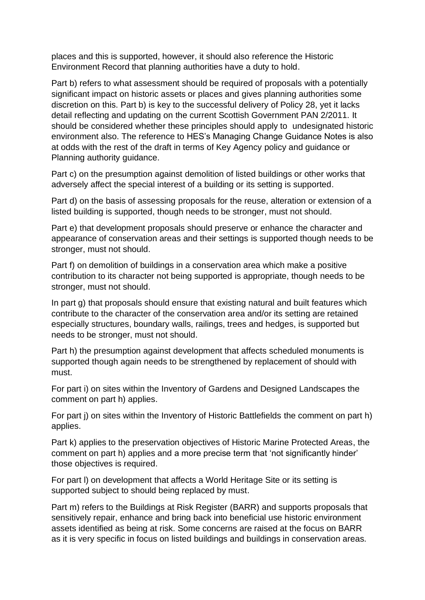places and this is supported, however, it should also reference the Historic Environment Record that planning authorities have a duty to hold.

Part b) refers to what assessment should be required of proposals with a potentially significant impact on historic assets or places and gives planning authorities some discretion on this. Part b) is key to the successful delivery of Policy 28, yet it lacks detail reflecting and updating on the current Scottish Government PAN 2/2011. It should be considered whether these principles should apply to undesignated historic environment also. The reference to HES's Managing Change Guidance Notes is also at odds with the rest of the draft in terms of Key Agency policy and guidance or Planning authority guidance.

Part c) on the presumption against demolition of listed buildings or other works that adversely affect the special interest of a building or its setting is supported.

Part d) on the basis of assessing proposals for the reuse, alteration or extension of a listed building is supported, though needs to be stronger, must not should.

Part e) that development proposals should preserve or enhance the character and appearance of conservation areas and their settings is supported though needs to be stronger, must not should.

Part f) on demolition of buildings in a conservation area which make a positive contribution to its character not being supported is appropriate, though needs to be stronger, must not should.

In part g) that proposals should ensure that existing natural and built features which contribute to the character of the conservation area and/or its setting are retained especially structures, boundary walls, railings, trees and hedges, is supported but needs to be stronger, must not should.

Part h) the presumption against development that affects scheduled monuments is supported though again needs to be strengthened by replacement of should with must.

For part i) on sites within the Inventory of Gardens and Designed Landscapes the comment on part h) applies.

For part j) on sites within the Inventory of Historic Battlefields the comment on part h) applies.

Part k) applies to the preservation objectives of Historic Marine Protected Areas, the comment on part h) applies and a more precise term that 'not significantly hinder' those objectives is required.

For part l) on development that affects a World Heritage Site or its setting is supported subject to should being replaced by must.

Part m) refers to the Buildings at Risk Register (BARR) and supports proposals that sensitively repair, enhance and bring back into beneficial use historic environment assets identified as being at risk. Some concerns are raised at the focus on BARR as it is very specific in focus on listed buildings and buildings in conservation areas.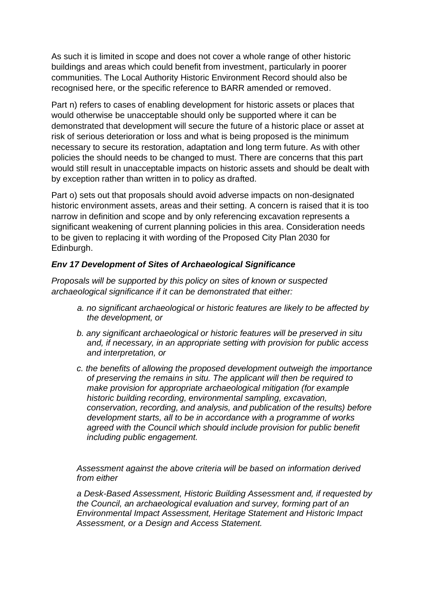As such it is limited in scope and does not cover a whole range of other historic buildings and areas which could benefit from investment, particularly in poorer communities. The Local Authority Historic Environment Record should also be recognised here, or the specific reference to BARR amended or removed.

Part n) refers to cases of enabling development for historic assets or places that would otherwise be unacceptable should only be supported where it can be demonstrated that development will secure the future of a historic place or asset at risk of serious deterioration or loss and what is being proposed is the minimum necessary to secure its restoration, adaptation and long term future. As with other policies the should needs to be changed to must. There are concerns that this part would still result in unacceptable impacts on historic assets and should be dealt with by exception rather than written in to policy as drafted.

Part o) sets out that proposals should avoid adverse impacts on non-designated historic environment assets, areas and their setting. A concern is raised that it is too narrow in definition and scope and by only referencing excavation represents a significant weakening of current planning policies in this area. Consideration needs to be given to replacing it with wording of the Proposed City Plan 2030 for Edinburgh.

#### *Env 17 Development of Sites of Archaeological Significance*

*Proposals will be supported by this policy on sites of known or suspected archaeological significance if it can be demonstrated that either:* 

- *a. no significant archaeological or historic features are likely to be affected by the development, or*
- *b. any significant archaeological or historic features will be preserved in situ and, if necessary, in an appropriate setting with provision for public access and interpretation, or*
- *c. the benefits of allowing the proposed development outweigh the importance of preserving the remains in situ. The applicant will then be required to make provision for appropriate archaeological mitigation (for example historic building recording, environmental sampling, excavation, conservation, recording, and analysis, and publication of the results) before development starts, all to be in accordance with a programme of works agreed with the Council which should include provision for public benefit including public engagement.*

*Assessment against the above criteria will be based on information derived from either* 

*a Desk-Based Assessment, Historic Building Assessment and, if requested by the Council, an archaeological evaluation and survey, forming part of an Environmental Impact Assessment, Heritage Statement and Historic Impact Assessment, or a Design and Access Statement.*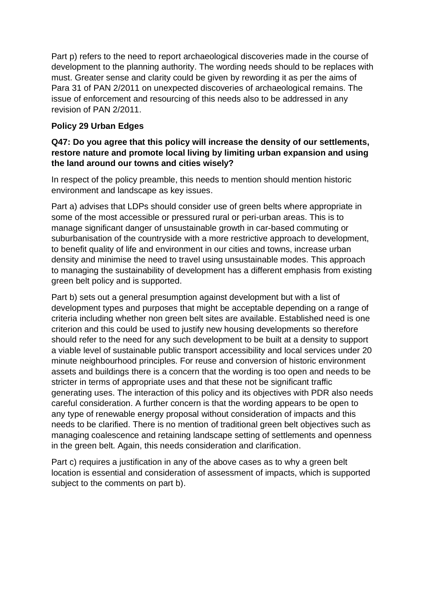Part p) refers to the need to report archaeological discoveries made in the course of development to the planning authority. The wording needs should to be replaces with must. Greater sense and clarity could be given by rewording it as per the aims of Para 31 of PAN 2/2011 on unexpected discoveries of archaeological remains. The issue of enforcement and resourcing of this needs also to be addressed in any revision of PAN 2/2011.

#### **Policy 29 Urban Edges**

#### **Q47: Do you agree that this policy will increase the density of our settlements, restore nature and promote local living by limiting urban expansion and using the land around our towns and cities wisely?**

In respect of the policy preamble, this needs to mention should mention historic environment and landscape as key issues.

Part a) advises that LDPs should consider use of green belts where appropriate in some of the most accessible or pressured rural or peri-urban areas. This is to manage significant danger of unsustainable growth in car-based commuting or suburbanisation of the countryside with a more restrictive approach to development, to benefit quality of life and environment in our cities and towns, increase urban density and minimise the need to travel using unsustainable modes. This approach to managing the sustainability of development has a different emphasis from existing green belt policy and is supported.

Part b) sets out a general presumption against development but with a list of development types and purposes that might be acceptable depending on a range of criteria including whether non green belt sites are available. Established need is one criterion and this could be used to justify new housing developments so therefore should refer to the need for any such development to be built at a density to support a viable level of sustainable public transport accessibility and local services under 20 minute neighbourhood principles. For reuse and conversion of historic environment assets and buildings there is a concern that the wording is too open and needs to be stricter in terms of appropriate uses and that these not be significant traffic generating uses. The interaction of this policy and its objectives with PDR also needs careful consideration. A further concern is that the wording appears to be open to any type of renewable energy proposal without consideration of impacts and this needs to be clarified. There is no mention of traditional green belt objectives such as managing coalescence and retaining landscape setting of settlements and openness in the green belt. Again, this needs consideration and clarification.

Part c) requires a justification in any of the above cases as to why a green belt location is essential and consideration of assessment of impacts, which is supported subject to the comments on part b).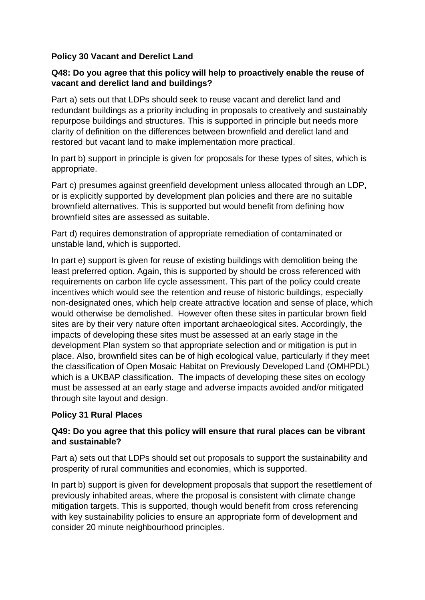#### **Policy 30 Vacant and Derelict Land**

#### **Q48: Do you agree that this policy will help to proactively enable the reuse of vacant and derelict land and buildings?**

Part a) sets out that LDPs should seek to reuse vacant and derelict land and redundant buildings as a priority including in proposals to creatively and sustainably repurpose buildings and structures. This is supported in principle but needs more clarity of definition on the differences between brownfield and derelict land and restored but vacant land to make implementation more practical.

In part b) support in principle is given for proposals for these types of sites, which is appropriate.

Part c) presumes against greenfield development unless allocated through an LDP, or is explicitly supported by development plan policies and there are no suitable brownfield alternatives. This is supported but would benefit from defining how brownfield sites are assessed as suitable.

Part d) requires demonstration of appropriate remediation of contaminated or unstable land, which is supported.

In part e) support is given for reuse of existing buildings with demolition being the least preferred option. Again, this is supported by should be cross referenced with requirements on carbon life cycle assessment. This part of the policy could create incentives which would see the retention and reuse of historic buildings, especially non-designated ones, which help create attractive location and sense of place, which would otherwise be demolished. However often these sites in particular brown field sites are by their very nature often important archaeological sites. Accordingly, the impacts of developing these sites must be assessed at an early stage in the development Plan system so that appropriate selection and or mitigation is put in place. Also, brownfield sites can be of high ecological value, particularly if they meet the classification of Open Mosaic Habitat on Previously Developed Land (OMHPDL) which is a UKBAP classification. The impacts of developing these sites on ecology must be assessed at an early stage and adverse impacts avoided and/or mitigated through site layout and design.

#### **Policy 31 Rural Places**

#### **Q49: Do you agree that this policy will ensure that rural places can be vibrant and sustainable?**

Part a) sets out that LDPs should set out proposals to support the sustainability and prosperity of rural communities and economies, which is supported.

In part b) support is given for development proposals that support the resettlement of previously inhabited areas, where the proposal is consistent with climate change mitigation targets. This is supported, though would benefit from cross referencing with key sustainability policies to ensure an appropriate form of development and consider 20 minute neighbourhood principles.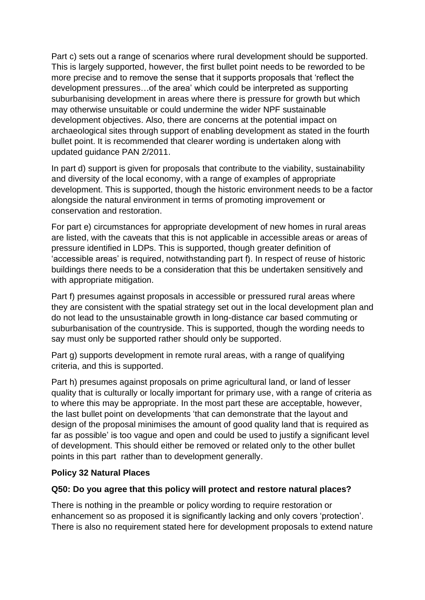Part c) sets out a range of scenarios where rural development should be supported. This is largely supported, however, the first bullet point needs to be reworded to be more precise and to remove the sense that it supports proposals that 'reflect the development pressures…of the area' which could be interpreted as supporting suburbanising development in areas where there is pressure for growth but which may otherwise unsuitable or could undermine the wider NPF sustainable development objectives. Also, there are concerns at the potential impact on archaeological sites through support of enabling development as stated in the fourth bullet point. It is recommended that clearer wording is undertaken along with updated guidance PAN 2/2011.

In part d) support is given for proposals that contribute to the viability, sustainability and diversity of the local economy, with a range of examples of appropriate development. This is supported, though the historic environment needs to be a factor alongside the natural environment in terms of promoting improvement or conservation and restoration.

For part e) circumstances for appropriate development of new homes in rural areas are listed, with the caveats that this is not applicable in accessible areas or areas of pressure identified in LDPs. This is supported, though greater definition of 'accessible areas' is required, notwithstanding part f). In respect of reuse of historic buildings there needs to be a consideration that this be undertaken sensitively and with appropriate mitigation.

Part f) presumes against proposals in accessible or pressured rural areas where they are consistent with the spatial strategy set out in the local development plan and do not lead to the unsustainable growth in long-distance car based commuting or suburbanisation of the countryside. This is supported, though the wording needs to say must only be supported rather should only be supported.

Part g) supports development in remote rural areas, with a range of qualifying criteria, and this is supported.

Part h) presumes against proposals on prime agricultural land, or land of lesser quality that is culturally or locally important for primary use, with a range of criteria as to where this may be appropriate. In the most part these are acceptable, however, the last bullet point on developments 'that can demonstrate that the layout and design of the proposal minimises the amount of good quality land that is required as far as possible' is too vague and open and could be used to justify a significant level of development. This should either be removed or related only to the other bullet points in this part rather than to development generally.

#### **Policy 32 Natural Places**

#### **Q50: Do you agree that this policy will protect and restore natural places?**

There is nothing in the preamble or policy wording to require restoration or enhancement so as proposed it is significantly lacking and only covers 'protection'. There is also no requirement stated here for development proposals to extend nature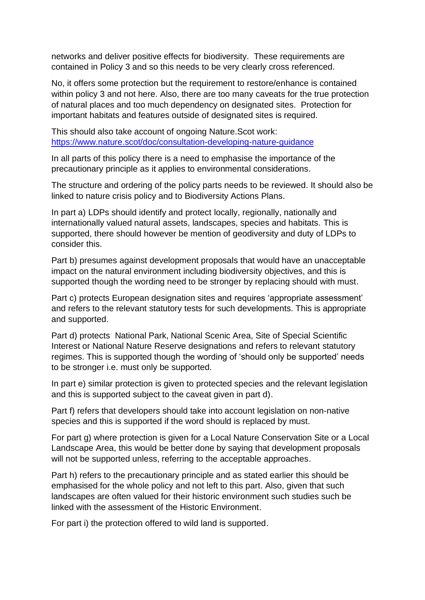networks and deliver positive effects for biodiversity. These requirements are contained in Policy 3 and so this needs to be very clearly cross referenced.

No, it offers some protection but the requirement to restore/enhance is contained within policy 3 and not here. Also, there are too many caveats for the true protection of natural places and too much dependency on designated sites. Protection for important habitats and features outside of designated sites is required.

This should also take account of ongoing Nature.Scot work: <https://www.nature.scot/doc/consultation-developing-nature-guidance>

In all parts of this policy there is a need to emphasise the importance of the precautionary principle as it applies to environmental considerations.

The structure and ordering of the policy parts needs to be reviewed. It should also be linked to nature crisis policy and to Biodiversity Actions Plans.

In part a) LDPs should identify and protect locally, regionally, nationally and internationally valued natural assets, landscapes, species and habitats. This is supported, there should however be mention of geodiversity and duty of LDPs to consider this.

Part b) presumes against development proposals that would have an unacceptable impact on the natural environment including biodiversity objectives, and this is supported though the wording need to be stronger by replacing should with must.

Part c) protects European designation sites and requires 'appropriate assessment' and refers to the relevant statutory tests for such developments. This is appropriate and supported.

Part d) protects National Park, National Scenic Area, Site of Special Scientific Interest or National Nature Reserve designations and refers to relevant statutory regimes. This is supported though the wording of 'should only be supported' needs to be stronger i.e. must only be supported.

In part e) similar protection is given to protected species and the relevant legislation and this is supported subject to the caveat given in part d).

Part f) refers that developers should take into account legislation on non-native species and this is supported if the word should is replaced by must.

For part g) where protection is given for a Local Nature Conservation Site or a Local Landscape Area, this would be better done by saying that development proposals will not be supported unless, referring to the acceptable approaches.

Part h) refers to the precautionary principle and as stated earlier this should be emphasised for the whole policy and not left to this part. Also, given that such landscapes are often valued for their historic environment such studies such be linked with the assessment of the Historic Environment.

For part i) the protection offered to wild land is supported.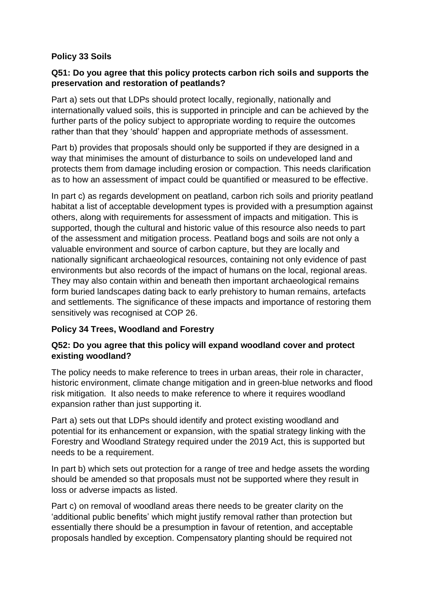#### **Policy 33 Soils**

#### **Q51: Do you agree that this policy protects carbon rich soils and supports the preservation and restoration of peatlands?**

Part a) sets out that LDPs should protect locally, regionally, nationally and internationally valued soils, this is supported in principle and can be achieved by the further parts of the policy subject to appropriate wording to require the outcomes rather than that they 'should' happen and appropriate methods of assessment.

Part b) provides that proposals should only be supported if they are designed in a way that minimises the amount of disturbance to soils on undeveloped land and protects them from damage including erosion or compaction. This needs clarification as to how an assessment of impact could be quantified or measured to be effective.

In part c) as regards development on peatland, carbon rich soils and priority peatland habitat a list of acceptable development types is provided with a presumption against others, along with requirements for assessment of impacts and mitigation. This is supported, though the cultural and historic value of this resource also needs to part of the assessment and mitigation process. Peatland bogs and soils are not only a valuable environment and source of carbon capture, but they are locally and nationally significant archaeological resources, containing not only evidence of past environments but also records of the impact of humans on the local, regional areas. They may also contain within and beneath then important archaeological remains form buried landscapes dating back to early prehistory to human remains, artefacts and settlements. The significance of these impacts and importance of restoring them sensitively was recognised at COP 26.

#### **Policy 34 Trees, Woodland and Forestry**

#### **Q52: Do you agree that this policy will expand woodland cover and protect existing woodland?**

The policy needs to make reference to trees in urban areas, their role in character, historic environment, climate change mitigation and in green-blue networks and flood risk mitigation. It also needs to make reference to where it requires woodland expansion rather than just supporting it.

Part a) sets out that LDPs should identify and protect existing woodland and potential for its enhancement or expansion, with the spatial strategy linking with the Forestry and Woodland Strategy required under the 2019 Act, this is supported but needs to be a requirement.

In part b) which sets out protection for a range of tree and hedge assets the wording should be amended so that proposals must not be supported where they result in loss or adverse impacts as listed.

Part c) on removal of woodland areas there needs to be greater clarity on the 'additional public benefits' which might justify removal rather than protection but essentially there should be a presumption in favour of retention, and acceptable proposals handled by exception. Compensatory planting should be required not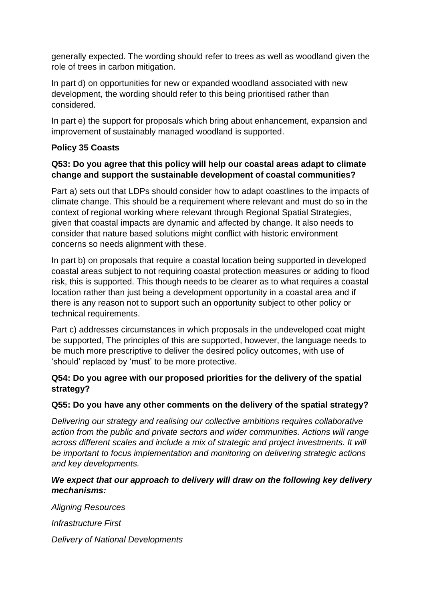generally expected. The wording should refer to trees as well as woodland given the role of trees in carbon mitigation.

In part d) on opportunities for new or expanded woodland associated with new development, the wording should refer to this being prioritised rather than considered.

In part e) the support for proposals which bring about enhancement, expansion and improvement of sustainably managed woodland is supported.

#### **Policy 35 Coasts**

#### **Q53: Do you agree that this policy will help our coastal areas adapt to climate change and support the sustainable development of coastal communities?**

Part a) sets out that LDPs should consider how to adapt coastlines to the impacts of climate change. This should be a requirement where relevant and must do so in the context of regional working where relevant through Regional Spatial Strategies, given that coastal impacts are dynamic and affected by change. It also needs to consider that nature based solutions might conflict with historic environment concerns so needs alignment with these.

In part b) on proposals that require a coastal location being supported in developed coastal areas subject to not requiring coastal protection measures or adding to flood risk, this is supported. This though needs to be clearer as to what requires a coastal location rather than just being a development opportunity in a coastal area and if there is any reason not to support such an opportunity subject to other policy or technical requirements.

Part c) addresses circumstances in which proposals in the undeveloped coat might be supported, The principles of this are supported, however, the language needs to be much more prescriptive to deliver the desired policy outcomes, with use of 'should' replaced by 'must' to be more protective.

#### **Q54: Do you agree with our proposed priorities for the delivery of the spatial strategy?**

#### **Q55: Do you have any other comments on the delivery of the spatial strategy?**

*Delivering our strategy and realising our collective ambitions requires collaborative action from the public and private sectors and wider communities. Actions will range across different scales and include a mix of strategic and project investments. It will be important to focus implementation and monitoring on delivering strategic actions and key developments.*

#### *We expect that our approach to delivery will draw on the following key delivery mechanisms:*

*Aligning Resources Infrastructure First Delivery of National Developments*